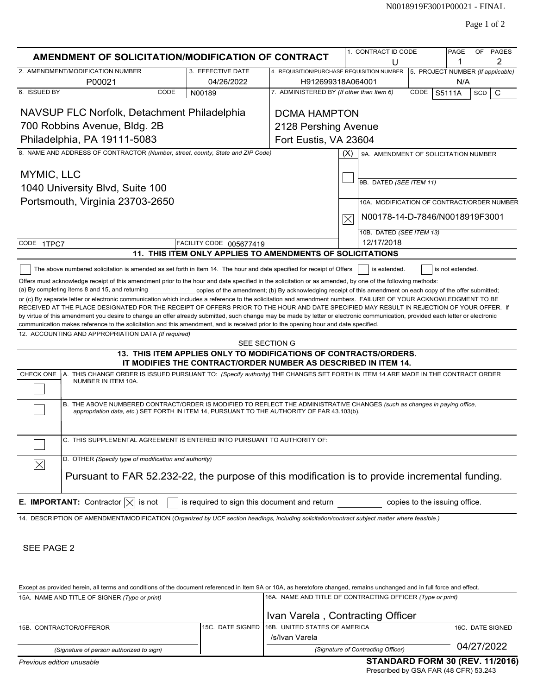| <b>AMENDMENT OF SOLICITATION/MODIFICATION OF CONTRACT</b>                                                                                                                                                                                                                                                                                 |                                                                                      |                                                            | 1. CONTRACT ID CODE                |                               | PAGE<br>OF PAGES<br>2                      |
|-------------------------------------------------------------------------------------------------------------------------------------------------------------------------------------------------------------------------------------------------------------------------------------------------------------------------------------------|--------------------------------------------------------------------------------------|------------------------------------------------------------|------------------------------------|-------------------------------|--------------------------------------------|
| 2. AMENDMENT/MODIFICATION NUMBER                                                                                                                                                                                                                                                                                                          | 3. EFFECTIVE DATE                                                                    | 4. REQUISITION/PURCHASE REQUISITION NUMBER                 | U                                  |                               | 5. PROJECT NUMBER (If applicable)          |
| P00021                                                                                                                                                                                                                                                                                                                                    | 04/26/2022                                                                           | H912699318A064001                                          |                                    |                               | N/A                                        |
| 6. ISSUED BY<br>CODE                                                                                                                                                                                                                                                                                                                      | N00189                                                                               | 7. ADMINISTERED BY (If other than Item 6)                  |                                    | CODE                          | SCD<br>C<br>S5111A                         |
| NAVSUP FLC Norfolk, Detachment Philadelphia                                                                                                                                                                                                                                                                                               |                                                                                      | <b>DCMA HAMPTON</b>                                        |                                    |                               |                                            |
| 700 Robbins Avenue, Bldg. 2B                                                                                                                                                                                                                                                                                                              |                                                                                      | 2128 Pershing Avenue                                       |                                    |                               |                                            |
| Philadelphia, PA 19111-5083                                                                                                                                                                                                                                                                                                               |                                                                                      | Fort Eustis, VA 23604                                      |                                    |                               |                                            |
| 8. NAME AND ADDRESS OF CONTRACTOR (Number, street, county, State and ZIP Code)                                                                                                                                                                                                                                                            |                                                                                      |                                                            | (X)                                |                               | 9A. AMENDMENT OF SOLICITATION NUMBER       |
|                                                                                                                                                                                                                                                                                                                                           |                                                                                      |                                                            |                                    |                               |                                            |
| MYMIC, LLC                                                                                                                                                                                                                                                                                                                                |                                                                                      |                                                            | 9B. DATED (SEE ITEM 11)            |                               |                                            |
| 1040 University Blvd, Suite 100                                                                                                                                                                                                                                                                                                           |                                                                                      |                                                            |                                    |                               |                                            |
| Portsmouth, Virginia 23703-2650                                                                                                                                                                                                                                                                                                           |                                                                                      |                                                            |                                    |                               | 10A. MODIFICATION OF CONTRACT/ORDER NUMBER |
|                                                                                                                                                                                                                                                                                                                                           |                                                                                      |                                                            | $\overline{\times}$                |                               | N00178-14-D-7846/N0018919F3001             |
|                                                                                                                                                                                                                                                                                                                                           |                                                                                      |                                                            | 10B. DATED (SEE ITEM 13)           |                               |                                            |
| CODE 1TPC7                                                                                                                                                                                                                                                                                                                                | FACILITY CODE 005677419<br>11. THIS ITEM ONLY APPLIES TO AMENDMENTS OF SOLICITATIONS |                                                            | 12/17/2018                         |                               |                                            |
|                                                                                                                                                                                                                                                                                                                                           |                                                                                      |                                                            |                                    |                               |                                            |
| The above numbered solicitation is amended as set forth in Item 14. The hour and date specified for receipt of Offers                                                                                                                                                                                                                     |                                                                                      |                                                            | is extended.                       |                               | is not extended.                           |
| Offers must acknowledge receipt of this amendment prior to the hour and date specified in the solicitation or as amended, by one of the following methods:<br>(a) By completing items 8 and 15, and returning ______________ copies of the amendment; (b) By acknowledging receipt of this amendment on each copy of the offer submitted; |                                                                                      |                                                            |                                    |                               |                                            |
| or (c) By separate letter or electronic communication which includes a reference to the solicitation and amendment numbers. FAILURE OF YOUR ACKNOWLEDGMENT TO BE                                                                                                                                                                          |                                                                                      |                                                            |                                    |                               |                                            |
| RECEIVED AT THE PLACE DESIGNATED FOR THE RECEIPT OF OFFERS PRIOR TO THE HOUR AND DATE SPECIFIED MAY RESULT IN REJECTION OF YOUR OFFER. If                                                                                                                                                                                                 |                                                                                      |                                                            |                                    |                               |                                            |
| by virtue of this amendment you desire to change an offer already submitted, such change may be made by letter or electronic communication, provided each letter or electronic<br>communication makes reference to the solicitation and this amendment, and is received prior to the opening hour and date specified.                     |                                                                                      |                                                            |                                    |                               |                                            |
| 12. ACCOUNTING AND APPROPRIATION DATA (If required)                                                                                                                                                                                                                                                                                       |                                                                                      |                                                            |                                    |                               |                                            |
|                                                                                                                                                                                                                                                                                                                                           | 13. THIS ITEM APPLIES ONLY TO MODIFICATIONS OF CONTRACTS/ORDERS.                     | SEE SECTION G                                              |                                    |                               |                                            |
|                                                                                                                                                                                                                                                                                                                                           | IT MODIFIES THE CONTRACT/ORDER NUMBER AS DESCRIBED IN ITEM 14.                       |                                                            |                                    |                               |                                            |
| CHECK ONE<br>A. THIS CHANGE ORDER IS ISSUED PURSUANT TO: (Specify authority) THE CHANGES SET FORTH IN ITEM 14 ARE MADE IN THE CONTRACT ORDER<br>NUMBER IN ITEM 10A.                                                                                                                                                                       |                                                                                      |                                                            |                                    |                               |                                            |
|                                                                                                                                                                                                                                                                                                                                           |                                                                                      |                                                            |                                    |                               |                                            |
| B. THE ABOVE NUMBERED CONTRACT/ORDER IS MODIFIED TO REFLECT THE ADMINISTRATIVE CHANGES (such as changes in paying office,                                                                                                                                                                                                                 |                                                                                      |                                                            |                                    |                               |                                            |
| appropriation data, etc.) SET FORTH IN ITEM 14, PURSUANT TO THE AUTHORITY OF FAR 43.103(b).                                                                                                                                                                                                                                               |                                                                                      |                                                            |                                    |                               |                                            |
|                                                                                                                                                                                                                                                                                                                                           |                                                                                      |                                                            |                                    |                               |                                            |
| C. THIS SUPPLEMENTAL AGREEMENT IS ENTERED INTO PURSUANT TO AUTHORITY OF:<br>$\overline{\phantom{a}}$                                                                                                                                                                                                                                      |                                                                                      |                                                            |                                    |                               |                                            |
| D. OTHER (Specify type of modification and authority)<br>$\overline{\times}$                                                                                                                                                                                                                                                              |                                                                                      |                                                            |                                    |                               |                                            |
| Pursuant to FAR 52.232-22, the purpose of this modification is to provide incremental funding.                                                                                                                                                                                                                                            |                                                                                      |                                                            |                                    |                               |                                            |
|                                                                                                                                                                                                                                                                                                                                           |                                                                                      |                                                            |                                    |                               |                                            |
| <b>E. IMPORTANT:</b> Contractor $\boxed{\times}$<br>is not                                                                                                                                                                                                                                                                                | is required to sign this document and return                                         |                                                            |                                    | copies to the issuing office. |                                            |
| 14. DESCRIPTION OF AMENDMENT/MODIFICATION (Organized by UCF section headings, including solicitation/contract subject matter where feasible.)                                                                                                                                                                                             |                                                                                      |                                                            |                                    |                               |                                            |
|                                                                                                                                                                                                                                                                                                                                           |                                                                                      |                                                            |                                    |                               |                                            |
|                                                                                                                                                                                                                                                                                                                                           |                                                                                      |                                                            |                                    |                               |                                            |
| SEE PAGE 2                                                                                                                                                                                                                                                                                                                                |                                                                                      |                                                            |                                    |                               |                                            |
|                                                                                                                                                                                                                                                                                                                                           |                                                                                      |                                                            |                                    |                               |                                            |
|                                                                                                                                                                                                                                                                                                                                           |                                                                                      |                                                            |                                    |                               |                                            |
| Except as provided herein, all terms and conditions of the document referenced in Item 9A or 10A, as heretofore changed, remains unchanged and in full force and effect.<br>15A. NAME AND TITLE OF SIGNER (Type or print)                                                                                                                 |                                                                                      | 16A. NAME AND TITLE OF CONTRACTING OFFICER (Type or print) |                                    |                               |                                            |
|                                                                                                                                                                                                                                                                                                                                           |                                                                                      |                                                            |                                    |                               |                                            |
|                                                                                                                                                                                                                                                                                                                                           |                                                                                      | Ivan Varela, Contracting Officer                           |                                    |                               |                                            |
| 15B. CONTRACTOR/OFFEROR                                                                                                                                                                                                                                                                                                                   | 15C. DATE SIGNED                                                                     | 16B. UNITED STATES OF AMERICA                              |                                    |                               | 16C. DATE SIGNED                           |
| (Signature of person authorized to sign)                                                                                                                                                                                                                                                                                                  |                                                                                      | /s/Ivan Varela                                             | (Signature of Contracting Officer) |                               | 04/27/2022                                 |

### SEE PAGE 2

| Previous edition unusable                     | <b>STANDARD FORM 30 (REV. 11/2016)</b>                     |                   |
|-----------------------------------------------|------------------------------------------------------------|-------------------|
| (Signature of person authorized to sign)      | (Signature of Contracting Officer)                         | 04/27/2022        |
|                                               | /s/Ivan Varela                                             |                   |
| 15B. CONTRACTOR/OFFEROR                       | 115C. DATE SIGNED 116B. UNITED STATES OF AMERICA           | 116C. DATE SIGNED |
|                                               | Ivan Varela, Contracting Officer                           |                   |
| 15A. NAME AND TITLE OF SIGNER (Type or print) | 16A. NAME AND TITLE OF CONTRACTING OFFICER (Type or print) |                   |

### Prescribed by GSA FAR (48 CFR) 53.243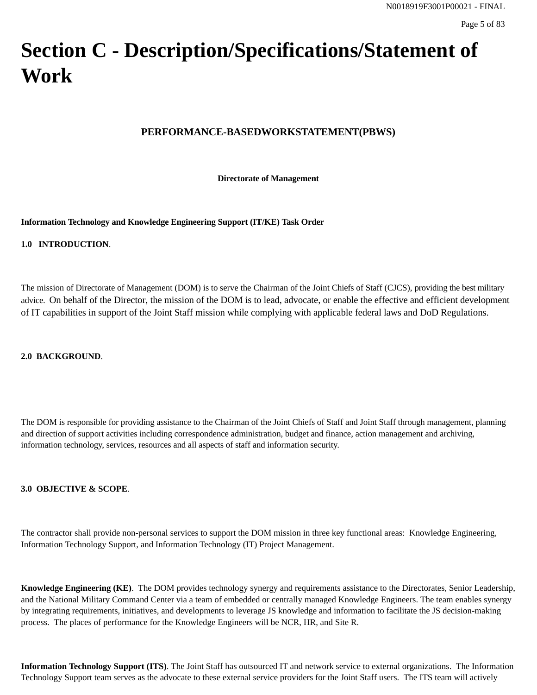# **Section C - Description/Specifications/Statement of Work**

# **PERFORMANCE-BASEDWORKSTATEMENT(PBWS)**

**Directorate of Management**

# **Information Technology and Knowledge Engineering Support (IT/KE) Task Order**

# **1.0 INTRODUCTION**.

The mission of Directorate of Management (DOM) is to serve the Chairman of the Joint Chiefs of Staff (CJCS), providing the best military advice. On behalf of the Director, the mission of the DOM is to lead, advocate, or enable the effective and efficient development of IT capabilities in support of the Joint Staff mission while complying with applicable federal laws and DoD Regulations.

#### **2.0 BACKGROUND**.

The DOM is responsible for providing assistance to the Chairman of the Joint Chiefs of Staff and Joint Staff through management, planning and direction of support activities including correspondence administration, budget and finance, action management and archiving, information technology, services, resources and all aspects of staff and information security.

#### **3.0 OBJECTIVE & SCOPE**.

The contractor shall provide non-personal services to support the DOM mission in three key functional areas: Knowledge Engineering, Information Technology Support, and Information Technology (IT) Project Management.

**Knowledge Engineering (KE)**. The DOM provides technology synergy and requirements assistance to the Directorates, Senior Leadership, and the National Military Command Center via a team of embedded or centrally managed Knowledge Engineers. The team enables synergy by integrating requirements, initiatives, and developments to leverage JS knowledge and information to facilitate the JS decision-making process. The places of performance for the Knowledge Engineers will be NCR, HR, and Site R.

**Information Technology Support (ITS)**. The Joint Staff has outsourced IT and network service to external organizations. The Information Technology Support team serves as the advocate to these external service providers for the Joint Staff users. The ITS team will actively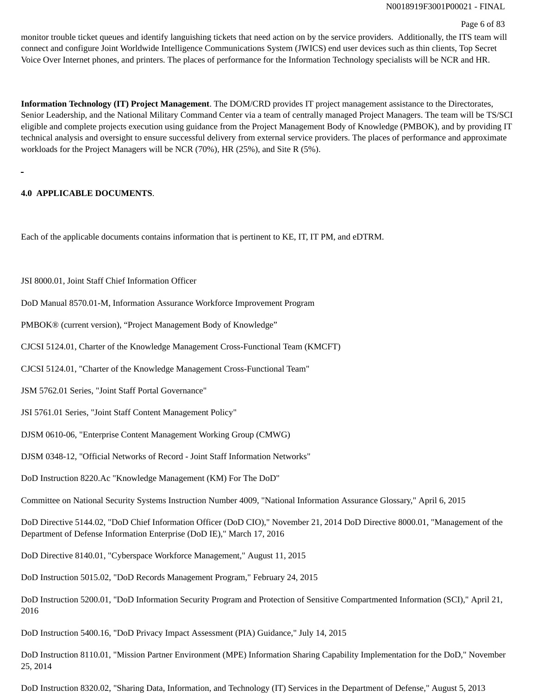#### N0018919F3001P00021 - FINAL

monitor trouble ticket queues and identify languishing tickets that need action on by the service providers. Additionally, the ITS team will connect and configure Joint Worldwide Intelligence Communications System (JWICS) end user devices such as thin clients, Top Secret Voice Over Internet phones, and printers. The places of performance for the Information Technology specialists will be NCR and HR.

**Information Technology (IT) Project Management**. The DOM/CRD provides IT project management assistance to the Directorates, Senior Leadership, and the National Military Command Center via a team of centrally managed Project Managers. The team will be TS/SCI eligible and complete projects execution using guidance from the Project Management Body of Knowledge (PMBOK), and by providing IT technical analysis and oversight to ensure successful delivery from external service providers. The places of performance and approximate workloads for the Project Managers will be NCR (70%), HR (25%), and Site R (5%).

#### **4.0 APPLICABLE DOCUMENTS**.

Each of the applicable documents contains information that is pertinent to KE, IT, IT PM, and eDTRM.

JSI 8000.01, Joint Staff Chief Information Officer

DoD Manual 8570.01-M, Information Assurance Workforce Improvement Program

PMBOK® (current version), "Project Management Body of Knowledge"

CJCSI 5124.01, Charter of the Knowledge Management Cross-Functional Team (KMCFT)

CJCSI 5124.01, "Charter of the Knowledge Management Cross-Functional Team"

JSM 5762.01 Series, "Joint Staff Portal Governance"

JSI 5761.01 Series, "Joint Staff Content Management Policy"

DJSM 0610-06, "Enterprise Content Management Working Group (CMWG)

DJSM 0348-12, "Official Networks of Record - Joint Staff Information Networks"

DoD Instruction 8220.Ac "Knowledge Management (KM) For The DoD"

Committee on National Security Systems Instruction Number 4009, "National Information Assurance Glossary," April 6, 2015

DoD Directive 5144.02, "DoD Chief Information Officer (DoD CIO)," November 21, 2014 DoD Directive 8000.01, "Management of the Department of Defense Information Enterprise (DoD IE)," March 17, 2016

DoD Directive 8140.01, "Cyberspace Workforce Management," August 11, 2015

DoD Instruction 5015.02, "DoD Records Management Program," February 24, 2015

DoD Instruction 5200.01, "DoD Information Security Program and Protection of Sensitive Compartmented Information (SCI)," April 21, 2016

DoD Instruction 5400.16, "DoD Privacy Impact Assessment (PIA) Guidance," July 14, 2015

DoD Instruction 8110.01, "Mission Partner Environment (MPE) Information Sharing Capability Implementation for the DoD," November 25, 2014

DoD Instruction 8320.02, "Sharing Data, Information, and Technology (IT) Services in the Department of Defense," August 5, 2013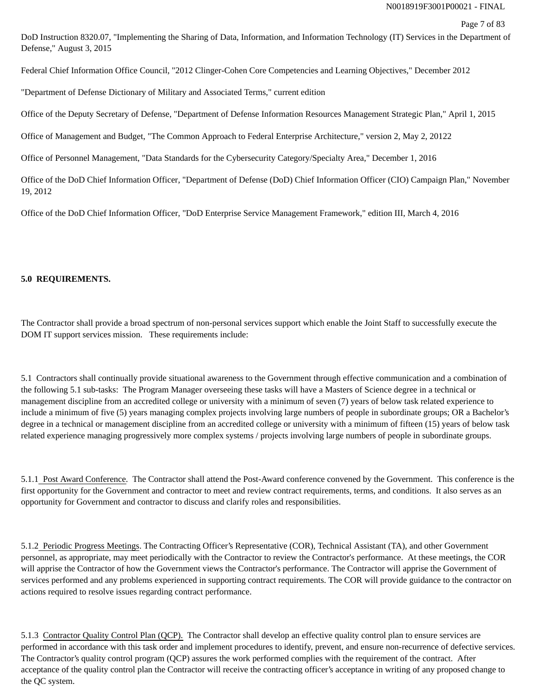DoD Instruction 8320.07, "Implementing the Sharing of Data, Information, and Information Technology (IT) Services in the Department of Defense," August 3, 2015

Federal Chief Information Office Council, "2012 Clinger-Cohen Core Competencies and Learning Objectives," December 2012

"Department of Defense Dictionary of Military and Associated Terms," current edition

Office of the Deputy Secretary of Defense, "Department of Defense Information Resources Management Strategic Plan," April 1, 2015

Office of Management and Budget, "The Common Approach to Federal Enterprise Architecture," version 2, May 2, 20122

Office of Personnel Management, "Data Standards for the Cybersecurity Category/Specialty Area," December 1, 2016

Office of the DoD Chief Information Officer, "Department of Defense (DoD) Chief Information Officer (CIO) Campaign Plan," November 19, 2012

Office of the DoD Chief Information Officer, "DoD Enterprise Service Management Framework," edition III, March 4, 2016

#### **5.0 REQUIREMENTS.**

The Contractor shall provide a broad spectrum of non-personal services support which enable the Joint Staff to successfully execute the DOM IT support services mission. These requirements include:

5.1 Contractors shall continually provide situational awareness to the Government through effective communication and a combination of the following 5.1 sub-tasks: The Program Manager overseeing these tasks will have a Masters of Science degree in a technical or management discipline from an accredited college or university with a minimum of seven (7) years of below task related experience to include a minimum of five (5) years managing complex projects involving large numbers of people in subordinate groups; OR a Bachelor's degree in a technical or management discipline from an accredited college or university with a minimum of fifteen (15) years of below task related experience managing progressively more complex systems / projects involving large numbers of people in subordinate groups.

5.1.1 Post Award Conference. The Contractor shall attend the Post-Award conference convened by the Government. This conference is the first opportunity for the Government and contractor to meet and review contract requirements, terms, and conditions. It also serves as an opportunity for Government and contractor to discuss and clarify roles and responsibilities.

5.1.2 Periodic Progress Meetings. The Contracting Officer's Representative (COR), Technical Assistant (TA), and other Government personnel, as appropriate, may meet periodically with the Contractor to review the Contractor's performance. At these meetings, the COR will apprise the Contractor of how the Government views the Contractor's performance. The Contractor will apprise the Government of services performed and any problems experienced in supporting contract requirements. The COR will provide guidance to the contractor on actions required to resolve issues regarding contract performance.

5.1.3 Contractor Quality Control Plan (QCP). The Contractor shall develop an effective quality control plan to ensure services are performed in accordance with this task order and implement procedures to identify, prevent, and ensure non-recurrence of defective services. The Contractor's quality control program (QCP) assures the work performed complies with the requirement of the contract. After acceptance of the quality control plan the Contractor will receive the contracting officer's acceptance in writing of any proposed change to the QC system.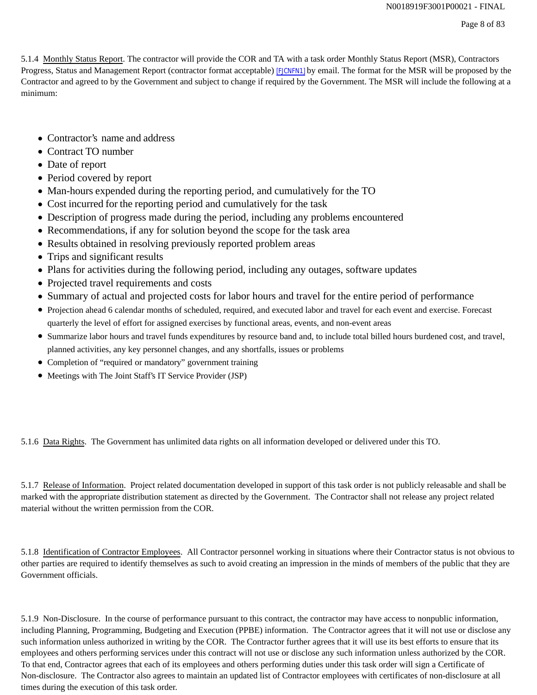5.1.4 Monthly Status Report. The contractor will provide the COR and TA with a task order Monthly Status Report (MSR), Contractors Progress, Status and Management Report (contractor format acceptable) [FJCNFN1] by email. The format for the MSR will be proposed by the Contractor and agreed to by the Government and subject to change if required by the Government. The MSR will include the following at a minimum:

- Contractor's name and address
- Contract TO number
- Date of report
- Period covered by report
- Man-hours expended during the reporting period, and cumulatively for the TO
- Cost incurred for the reporting period and cumulatively for the task
- Description of progress made during the period, including any problems encountered
- Recommendations, if any for solution beyond the scope for the task area
- Results obtained in resolving previously reported problem areas
- Trips and significant results
- Plans for activities during the following period, including any outages, software updates
- Projected travel requirements and costs
- Summary of actual and projected costs for labor hours and travel for the entire period of performance
- Projection ahead 6 calendar months of scheduled, required, and executed labor and travel for each event and exercise. Forecast quarterly the level of effort for assigned exercises by functional areas, events, and non-event areas
- Summarize labor hours and travel funds expenditures by resource band and, to include total billed hours burdened cost, and travel, planned activities, any key personnel changes, and any shortfalls, issues or problems
- Completion of "required or mandatory" government training
- Meetings with The Joint Staff's IT Service Provider (JSP)

5.1.6 Data Rights. The Government has unlimited data rights on all information developed or delivered under this TO.

5.1.7 Release of Information. Project related documentation developed in support of this task order is not publicly releasable and shall be marked with the appropriate distribution statement as directed by the Government. The Contractor shall not release any project related material without the written permission from the COR.

5.1.8 Identification of Contractor Employees. All Contractor personnel working in situations where their Contractor status is not obvious to other parties are required to identify themselves as such to avoid creating an impression in the minds of members of the public that they are Government officials.

5.1.9 Non-Disclosure. In the course of performance pursuant to this contract, the contractor may have access to nonpublic information, including Planning, Programming, Budgeting and Execution (PPBE) information. The Contractor agrees that it will not use or disclose any such information unless authorized in writing by the COR. The Contractor further agrees that it will use its best efforts to ensure that its employees and others performing services under this contract will not use or disclose any such information unless authorized by the COR. To that end, Contractor agrees that each of its employees and others performing duties under this task order will sign a Certificate of Non-disclosure. The Contractor also agrees to maintain an updated list of Contractor employees with certificates of non-disclosure at all times during the execution of this task order.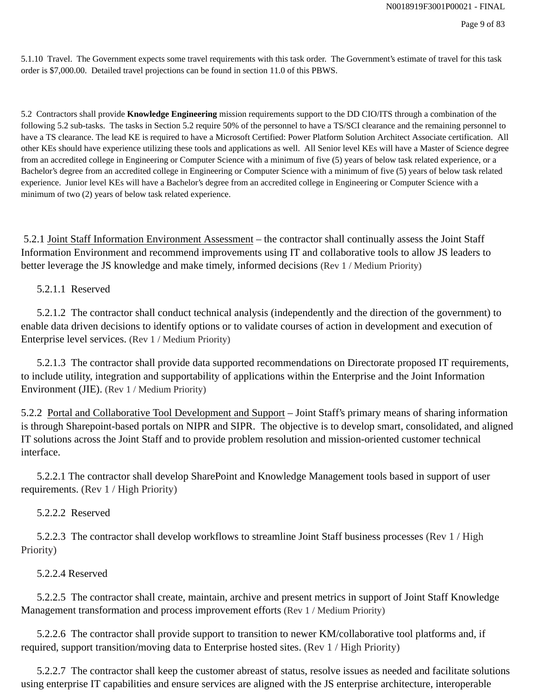5.1.10 Travel. The Government expects some travel requirements with this task order. The Government's estimate of travel for this task order is \$7,000.00. Detailed travel projections can be found in section 11.0 of this PBWS.

5.2 Contractors shall provide **Knowledge Engineering** mission requirements support to the DD CIO/ITS through a combination of the following 5.2 sub-tasks. The tasks in Section 5.2 require 50% of the personnel to have a TS/SCI clearance and the remaining personnel to have a TS clearance. The lead KE is required to have a Microsoft Certified: Power Platform Solution Architect Associate certification. All other KEs should have experience utilizing these tools and applications as well. All Senior level KEs will have a Master of Science degree from an accredited college in Engineering or Computer Science with a minimum of five (5) years of below task related experience, or a Bachelor's degree from an accredited college in Engineering or Computer Science with a minimum of five (5) years of below task related experience. Junior level KEs will have a Bachelor's degree from an accredited college in Engineering or Computer Science with a minimum of two (2) years of below task related experience.

 5.2.1 Joint Staff Information Environment Assessment – the contractor shall continually assess the Joint Staff Information Environment and recommend improvements using IT and collaborative tools to allow JS leaders to better leverage the JS knowledge and make timely, informed decisions (Rev 1 / Medium Priority)

## 5.2.1.1 Reserved

 5.2.1.2 The contractor shall conduct technical analysis (independently and the direction of the government) to enable data driven decisions to identify options or to validate courses of action in development and execution of Enterprise level services. (Rev 1 / Medium Priority)

 5.2.1.3 The contractor shall provide data supported recommendations on Directorate proposed IT requirements, to include utility, integration and supportability of applications within the Enterprise and the Joint Information Environment (JIE). (Rev 1 / Medium Priority)

5.2.2 Portal and Collaborative Tool Development and Support – Joint Staff's primary means of sharing information is through Sharepoint-based portals on NIPR and SIPR. The objective is to develop smart, consolidated, and aligned IT solutions across the Joint Staff and to provide problem resolution and mission-oriented customer technical interface.

 5.2.2.1 The contractor shall develop SharePoint and Knowledge Management tools based in support of user requirements. (Rev 1 / High Priority)

### 5.2.2.2 Reserved

 5.2.2.3 The contractor shall develop workflows to streamline Joint Staff business processes (Rev 1 / High Priority)

### 5.2.2.4 Reserved

 5.2.2.5 The contractor shall create, maintain, archive and present metrics in support of Joint Staff Knowledge Management transformation and process improvement efforts (Rev 1 / Medium Priority)

 5.2.2.6 The contractor shall provide support to transition to newer KM/collaborative tool platforms and, if required, support transition/moving data to Enterprise hosted sites. (Rev 1 / High Priority)

 5.2.2.7 The contractor shall keep the customer abreast of status, resolve issues as needed and facilitate solutions using enterprise IT capabilities and ensure services are aligned with the JS enterprise architecture, interoperable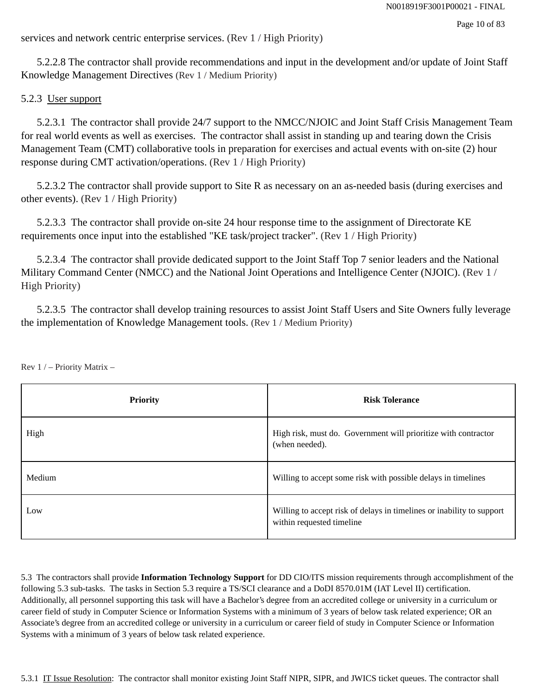services and network centric enterprise services. (Rev 1 / High Priority)

 5.2.2.8 The contractor shall provide recommendations and input in the development and/or update of Joint Staff Knowledge Management Directives (Rev 1 / Medium Priority)

5.2.3 User support

 5.2.3.1 The contractor shall provide 24/7 support to the NMCC/NJOIC and Joint Staff Crisis Management Team for real world events as well as exercises. The contractor shall assist in standing up and tearing down the Crisis Management Team (CMT) collaborative tools in preparation for exercises and actual events with on-site (2) hour response during CMT activation/operations. (Rev 1 / High Priority)

 5.2.3.2 The contractor shall provide support to Site R as necessary on an as-needed basis (during exercises and other events). (Rev 1 / High Priority)

 5.2.3.3 The contractor shall provide on-site 24 hour response time to the assignment of Directorate KE requirements once input into the established "KE task/project tracker". (Rev 1 / High Priority)

 5.2.3.4 The contractor shall provide dedicated support to the Joint Staff Top 7 senior leaders and the National Military Command Center (NMCC) and the National Joint Operations and Intelligence Center (NJOIC). (Rev 1/ High Priority)

 5.2.3.5 The contractor shall develop training resources to assist Joint Staff Users and Site Owners fully leverage the implementation of Knowledge Management tools. (Rev 1 / Medium Priority)

| <b>Priority</b> | <b>Risk Tolerance</b>                                                                              |
|-----------------|----------------------------------------------------------------------------------------------------|
| High            | High risk, must do. Government will prioritize with contractor<br>(when needed).                   |
| Medium          | Willing to accept some risk with possible delays in timelines                                      |
| Low             | Willing to accept risk of delays in timelines or inability to support<br>within requested timeline |

Rev 1 / – Priority Matrix –

5.3 The contractors shall provide **Information Technology Support** for DD CIO/ITS mission requirements through accomplishment of the following 5.3 sub-tasks. The tasks in Section 5.3 require a TS/SCI clearance and a DoDI 8570.01M (IAT Level II) certification. Additionally, all personnel supporting this task will have a Bachelor's degree from an accredited college or university in a curriculum or career field of study in Computer Science or Information Systems with a minimum of 3 years of below task related experience; OR an Associate's degree from an accredited college or university in a curriculum or career field of study in Computer Science or Information Systems with a minimum of 3 years of below task related experience.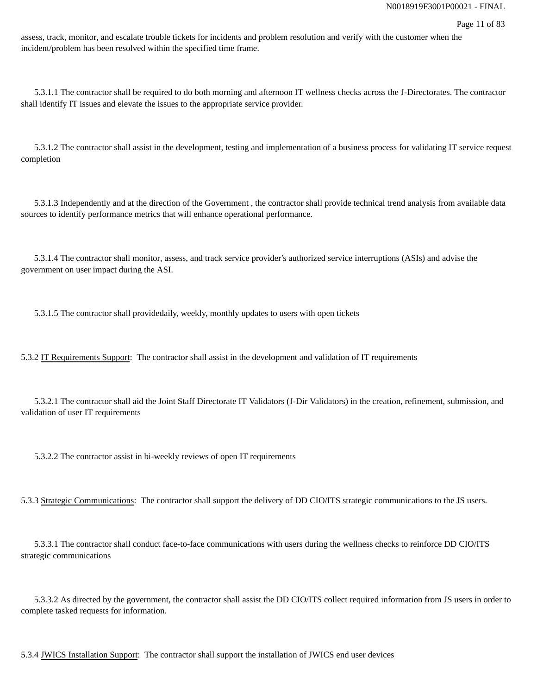assess, track, monitor, and escalate trouble tickets for incidents and problem resolution and verify with the customer when the incident/problem has been resolved within the specified time frame.

 5.3.1.1 The contractor shall be required to do both morning and afternoon IT wellness checks across the J-Directorates. The contractor shall identify IT issues and elevate the issues to the appropriate service provider.

 5.3.1.2 The contractor shall assist in the development, testing and implementation of a business process for validating IT service request completion

 5.3.1.3 Independently and at the direction of the Government , the contractor shall provide technical trend analysis from available data sources to identify performance metrics that will enhance operational performance.

 5.3.1.4 The contractor shall monitor, assess, and track service provider's authorized service interruptions (ASIs) and advise the government on user impact during the ASI.

5.3.1.5 The contractor shall providedaily, weekly, monthly updates to users with open tickets

5.3.2 IT Requirements Support: The contractor shall assist in the development and validation of IT requirements

 5.3.2.1 The contractor shall aid the Joint Staff Directorate IT Validators (J-Dir Validators) in the creation, refinement, submission, and validation of user IT requirements

5.3.2.2 The contractor assist in bi-weekly reviews of open IT requirements

5.3.3 Strategic Communications: The contractor shall support the delivery of DD CIO/ITS strategic communications to the JS users.

 5.3.3.1 The contractor shall conduct face-to-face communications with users during the wellness checks to reinforce DD CIO/ITS strategic communications

 5.3.3.2 As directed by the government, the contractor shall assist the DD CIO/ITS collect required information from JS users in order to complete tasked requests for information.

5.3.4 JWICS Installation Support: The contractor shall support the installation of JWICS end user devices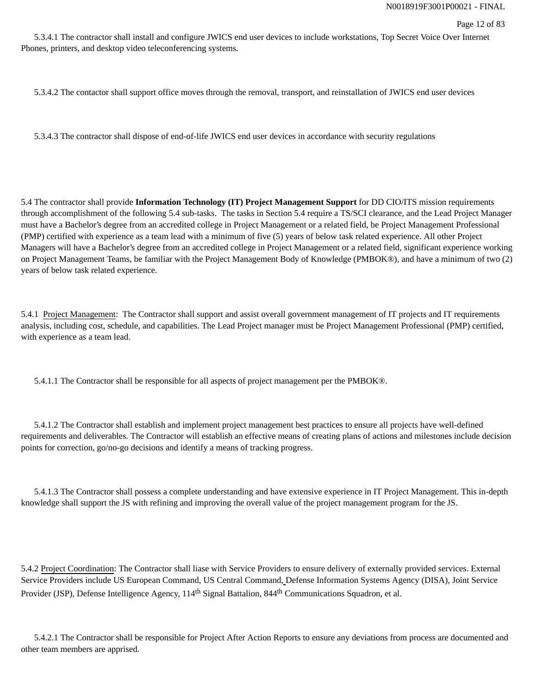5.3.4.1 The contractor shall install and configure JWICS end user devices to include workstations, Top Secret Voice Over Internet Phones, printers, and desktop video teleconferencing systems.

5.3.4.2 The contactor shall support office moves through the removal, transport, and reinstallation of JWICS end user devices

5.3.4.3 The contractor shall dispose of end-of-life JWICS end user devices in accordance with security regulations

5.4 The contractor shall provide **Information Technology (IT) Project Management Support** for DD CIO/ITS mission requirements through accomplishment of the following 5.4 sub-tasks. The tasks in Section 5.4 require a TS/SCI clearance, and the Lead Project Manager must have a Bachelor's degree from an accredited college in Project Management or a related field, be Project Management Professional (PMP) certified with experience as a team lead with a minimum of five (5) years of below task related experience. All other Project Managers will have a Bachelor's degree from an accredited college in Project Management or a related field, significant experience working on Project Management Teams, be familiar with the Project Management Body of Knowledge (PMBOK®), and have a minimum of two (2) years of below task related experience.

5.4.1 Project Management: The Contractor shall support and assist overall government management of IT projects and IT requirements analysis, including cost, schedule, and capabilities. The Lead Project manager must be Project Management Professional (PMP) certified, with experience as a team lead.

5.4.1.1 The Contractor shall be responsible for all aspects of project management per the PMBOK®.

 5.4.1.2 The Contractor shall establish and implement project management best practices to ensure all projects have well-defined requirements and deliverables. The Contractor will establish an effective means of creating plans of actions and milestones include decision points for correction, go/no-go decisions and identify a means of tracking progress.

 5.4.1.3 The Contractor shall possess a complete understanding and have extensive experience in IT Project Management. This in-depth knowledge shall support the JS with refining and improving the overall value of the project management program for the JS.

5.4.2 Project Coordination: The Contractor shall liase with Service Providers to ensure delivery of externally provided services. External Service Providers include US European Command, US Central Command, Defense Information Systems Agency (DISA), Joint Service Provider (JSP), Defense Intelligence Agency, 114<sup>th</sup> Signal Battalion, 844<sup>th</sup> Communications Squadron, et al.

 5.4.2.1 The Contractor shall be responsible for Project After Action Reports to ensure any deviations from process are documented and other team members are apprised.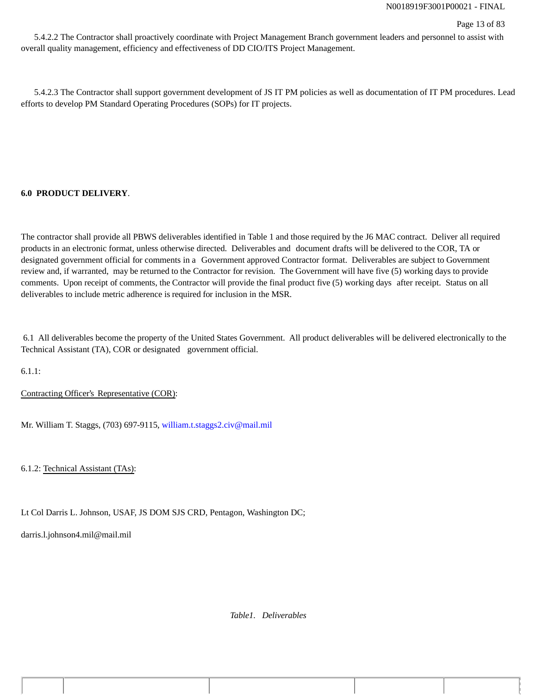5.4.2.2 The Contractor shall proactively coordinate with Project Management Branch government leaders and personnel to assist with overall quality management, efficiency and effectiveness of DD CIO/ITS Project Management.

 5.4.2.3 The Contractor shall support government development of JS IT PM policies as well as documentation of IT PM procedures. Lead efforts to develop PM Standard Operating Procedures (SOPs) for IT projects.

#### **6.0 PRODUCT DELIVERY**.

The contractor shall provide all PBWS deliverables identified in Table 1 and those required by the J6 MAC contract. Deliver all required products in an electronic format, unless otherwise directed. Deliverables and document drafts will be delivered to the COR, TA or designated government official for comments in a Government approved Contractor format. Deliverables are subject to Government review and, if warranted, may be returned to the Contractor for revision. The Government will have five (5) working days to provide comments. Upon receipt of comments, the Contractor will provide the final product five (5) working days after receipt. Status on all deliverables to include metric adherence is required for inclusion in the MSR.

 6.1 All deliverables become the property of the United States Government. All product deliverables will be delivered electronically to the Technical Assistant (TA), COR or designated government official.

6.1.1:

Contracting Officer's Representative (COR):

Mr. William T. Staggs, (703) 697-9115, william.t.staggs2.civ@mail.mil

6.1.2: Technical Assistant (TAs):

Lt Col Darris L. Johnson, USAF, JS DOM SJS CRD, Pentagon, Washington DC;

darris.l.johnson4.mil@mail.mil

*Table1. Deliverables*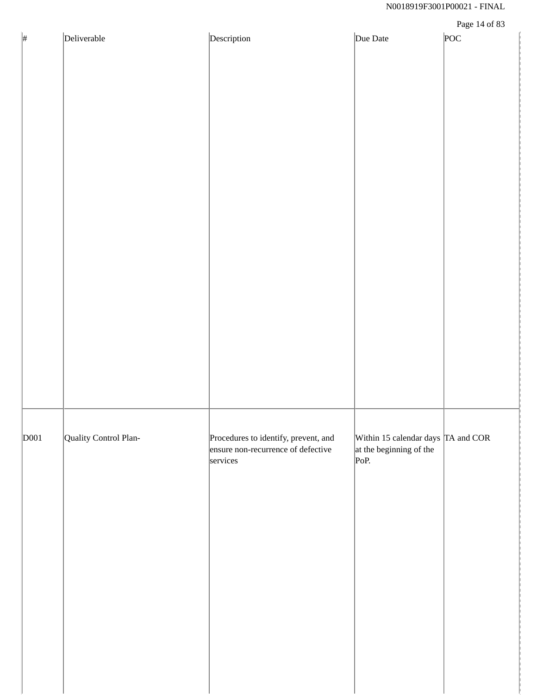|                                                                         | Page 14 of 83         |                                                                            |                                                               |     |
|-------------------------------------------------------------------------|-----------------------|----------------------------------------------------------------------------|---------------------------------------------------------------|-----|
| $\left  \!\!{\,}^{\mathop{}\limits_{}}_{\mathop{}\limits^{}}\right  \#$ | Deliverable           | Description                                                                | Due Date                                                      | POC |
|                                                                         |                       |                                                                            |                                                               |     |
|                                                                         |                       |                                                                            |                                                               |     |
|                                                                         |                       |                                                                            |                                                               |     |
|                                                                         |                       |                                                                            |                                                               |     |
|                                                                         |                       |                                                                            |                                                               |     |
|                                                                         |                       |                                                                            |                                                               |     |
|                                                                         |                       |                                                                            |                                                               |     |
|                                                                         |                       |                                                                            |                                                               |     |
|                                                                         |                       |                                                                            |                                                               |     |
|                                                                         |                       |                                                                            |                                                               |     |
|                                                                         |                       |                                                                            |                                                               |     |
|                                                                         |                       |                                                                            |                                                               |     |
|                                                                         |                       |                                                                            |                                                               |     |
|                                                                         |                       |                                                                            |                                                               |     |
|                                                                         |                       |                                                                            |                                                               |     |
|                                                                         |                       |                                                                            |                                                               |     |
|                                                                         |                       |                                                                            |                                                               |     |
|                                                                         |                       |                                                                            |                                                               |     |
|                                                                         |                       |                                                                            |                                                               |     |
|                                                                         |                       |                                                                            |                                                               |     |
|                                                                         |                       |                                                                            |                                                               |     |
|                                                                         |                       |                                                                            |                                                               |     |
|                                                                         |                       |                                                                            |                                                               |     |
|                                                                         |                       |                                                                            |                                                               |     |
|                                                                         |                       |                                                                            |                                                               |     |
|                                                                         |                       |                                                                            |                                                               |     |
| D <sub>001</sub>                                                        | Quality Control Plan- | Procedures to identify, prevent, and<br>ensure non-recurrence of defective | Within 15 calendar days TA and COR<br>at the beginning of the |     |
|                                                                         |                       | services                                                                   | PoP.                                                          |     |
|                                                                         |                       |                                                                            |                                                               |     |
|                                                                         |                       |                                                                            |                                                               |     |
|                                                                         |                       |                                                                            |                                                               |     |
|                                                                         |                       |                                                                            |                                                               |     |
|                                                                         |                       |                                                                            |                                                               |     |
|                                                                         |                       |                                                                            |                                                               |     |
|                                                                         |                       |                                                                            |                                                               |     |
|                                                                         |                       |                                                                            |                                                               |     |
|                                                                         |                       |                                                                            |                                                               |     |
|                                                                         |                       |                                                                            |                                                               |     |
|                                                                         |                       |                                                                            |                                                               |     |
|                                                                         |                       |                                                                            |                                                               |     |
|                                                                         |                       |                                                                            |                                                               |     |
|                                                                         |                       |                                                                            |                                                               |     |
|                                                                         |                       |                                                                            |                                                               |     |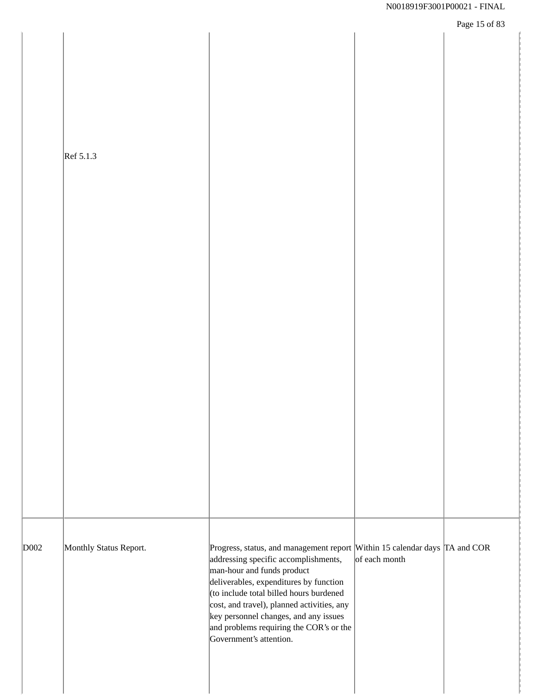|      |                        |                                                                                                                                                                                                                                                                                                                                                                                                    |               | Page 15 of 83 |  |
|------|------------------------|----------------------------------------------------------------------------------------------------------------------------------------------------------------------------------------------------------------------------------------------------------------------------------------------------------------------------------------------------------------------------------------------------|---------------|---------------|--|
|      | Ref 5.1.3              |                                                                                                                                                                                                                                                                                                                                                                                                    |               |               |  |
| D002 | Monthly Status Report. | Progress, status, and management report Within 15 calendar days TA and COR<br>addressing specific accomplishments,<br>man-hour and funds product<br>deliverables, expenditures by function<br>(to include total billed hours burdened<br>cost, and travel), planned activities, any<br>key personnel changes, and any issues<br>and problems requiring the COR's or the<br>Government's attention. | of each month |               |  |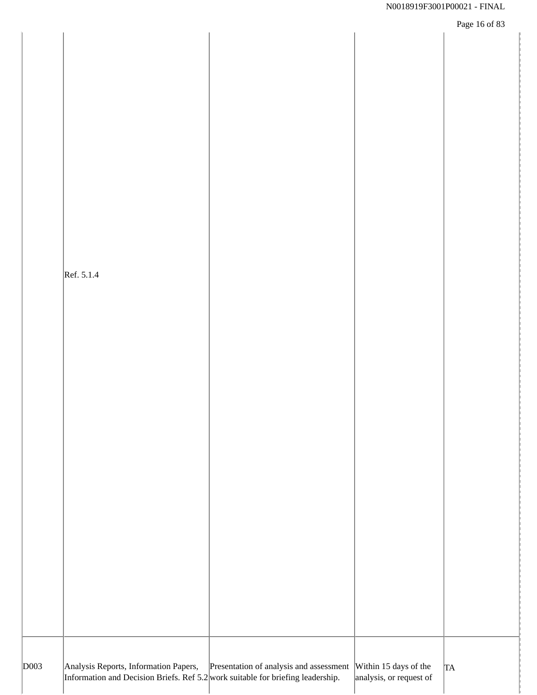# $D<sub>0</sub>$ ge 16 of 92

|      |                                                                                                                          |                                         |                                                  | Page 10 or 83 |
|------|--------------------------------------------------------------------------------------------------------------------------|-----------------------------------------|--------------------------------------------------|---------------|
|      | Ref. 5.1.4                                                                                                               |                                         |                                                  |               |
|      |                                                                                                                          |                                         |                                                  |               |
| D003 | Analysis Reports, Information Papers,<br>Information and Decision Briefs. Ref 5.2 work suitable for briefing leadership. | Presentation of analysis and assessment | Within 15 days of the<br>analysis, or request of | TА            |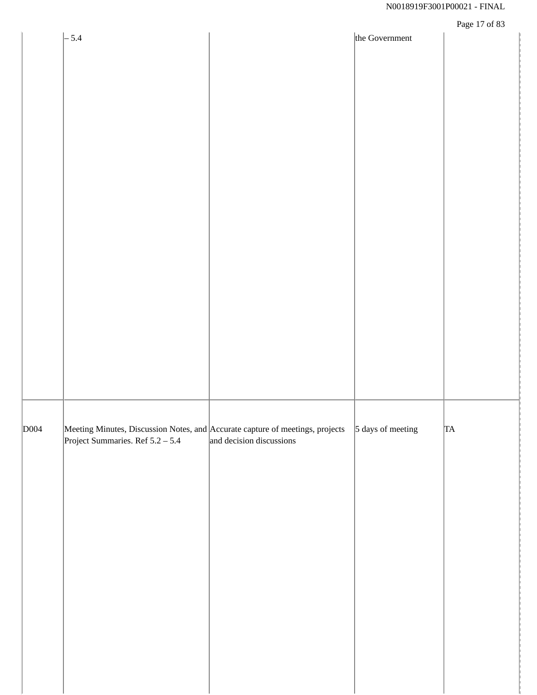|      |                                                                               |                          |                   | Page 17 of 83 |
|------|-------------------------------------------------------------------------------|--------------------------|-------------------|---------------|
|      | $-5.4$                                                                        |                          | the Government    |               |
|      |                                                                               |                          |                   |               |
|      |                                                                               |                          |                   |               |
|      |                                                                               |                          |                   |               |
|      |                                                                               |                          |                   |               |
|      |                                                                               |                          |                   |               |
|      |                                                                               |                          |                   |               |
|      |                                                                               |                          |                   |               |
|      |                                                                               |                          |                   |               |
|      |                                                                               |                          |                   |               |
|      |                                                                               |                          |                   |               |
|      |                                                                               |                          |                   |               |
|      |                                                                               |                          |                   |               |
|      |                                                                               |                          |                   |               |
|      |                                                                               |                          |                   |               |
|      |                                                                               |                          |                   |               |
|      |                                                                               |                          |                   |               |
|      |                                                                               |                          |                   |               |
|      |                                                                               |                          |                   |               |
|      |                                                                               |                          |                   |               |
|      |                                                                               |                          |                   |               |
|      |                                                                               |                          |                   |               |
|      |                                                                               |                          |                   |               |
|      |                                                                               |                          |                   |               |
|      |                                                                               |                          |                   |               |
|      |                                                                               |                          |                   |               |
|      |                                                                               |                          |                   |               |
|      |                                                                               |                          |                   |               |
|      |                                                                               |                          |                   |               |
|      |                                                                               |                          |                   |               |
|      |                                                                               |                          |                   |               |
|      |                                                                               |                          |                   |               |
|      |                                                                               |                          |                   |               |
|      |                                                                               |                          |                   |               |
| D004 | Meeting Minutes, Discussion Notes, and Accurate capture of meetings, projects |                          | 5 days of meeting | TA            |
|      | Project Summaries. Ref $5.2 - 5.4$                                            | and decision discussions |                   |               |
|      |                                                                               |                          |                   |               |
|      |                                                                               |                          |                   |               |
|      |                                                                               |                          |                   |               |
|      |                                                                               |                          |                   |               |
|      |                                                                               |                          |                   |               |
|      |                                                                               |                          |                   |               |
|      |                                                                               |                          |                   |               |
|      |                                                                               |                          |                   |               |
|      |                                                                               |                          |                   |               |
|      |                                                                               |                          |                   |               |
|      |                                                                               |                          |                   |               |
|      |                                                                               |                          |                   |               |
|      |                                                                               |                          |                   |               |
|      |                                                                               |                          |                   |               |
|      |                                                                               |                          |                   |               |
|      |                                                                               |                          |                   |               |
|      |                                                                               |                          |                   |               |
|      |                                                                               |                          |                   |               |
|      |                                                                               |                          |                   |               |
|      |                                                                               |                          |                   |               |
|      |                                                                               |                          |                   |               |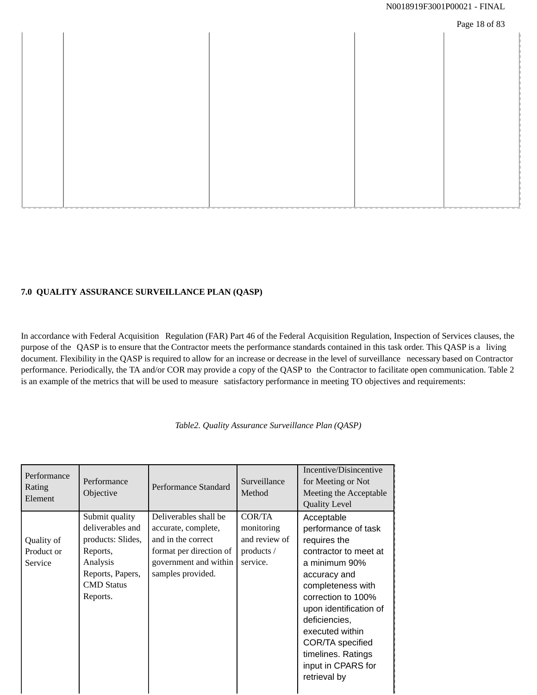|  |  | Page 18 of 83 |
|--|--|---------------|
|  |  |               |
|  |  |               |
|  |  |               |
|  |  |               |
|  |  |               |
|  |  |               |
|  |  |               |
|  |  |               |

#### **7.0 QUALITY ASSURANCE SURVEILLANCE PLAN (QASP)**

In accordance with Federal Acquisition Regulation (FAR) Part 46 of the Federal Acquisition Regulation, Inspection of Services clauses, the purpose of the QASP is to ensure that the Contractor meets the performance standards contained in this task order. This QASP is a living document. Flexibility in the QASP is required to allow for an increase or decrease in the level of surveillance necessary based on Contractor performance. Periodically, the TA and/or COR may provide a copy of the QASP to the Contractor to facilitate open communication. Table 2 is an example of the metrics that will be used to measure satisfactory performance in meeting TO objectives and requirements:

| Table2. Quality Assurance Surveillance Plan (QASP) |  |  |  |  |
|----------------------------------------------------|--|--|--|--|
|----------------------------------------------------|--|--|--|--|

| Performance<br>Rating<br>Element    | Performance<br>Objective                                                                                                             | Performance Standard                                                                                                                        | Surveillance<br>Method                                                   | Incentive/Disincentive<br>for Meeting or Not<br>Meeting the Acceptable<br><b>Quality Level</b>                                                                                                                                                                                                       |
|-------------------------------------|--------------------------------------------------------------------------------------------------------------------------------------|---------------------------------------------------------------------------------------------------------------------------------------------|--------------------------------------------------------------------------|------------------------------------------------------------------------------------------------------------------------------------------------------------------------------------------------------------------------------------------------------------------------------------------------------|
| Quality of<br>Product or<br>Service | Submit quality<br>deliverables and<br>products: Slides,<br>Reports,<br>Analysis<br>Reports, Papers,<br><b>CMD</b> Status<br>Reports. | Deliverables shall be<br>accurate, complete,<br>and in the correct<br>format per direction of<br>government and within<br>samples provided. | COR/TA<br>monitoring<br>and review of<br>products $\sqrt{ }$<br>service. | Acceptable<br>performance of task<br>requires the<br>contractor to meet at<br>a minimum 90%<br>accuracy and<br>completeness with<br>correction to 100%<br>upon identification of<br>deficiencies,<br>executed within<br>COR/TA specified<br>timelines. Ratings<br>input in CPARS for<br>retrieval by |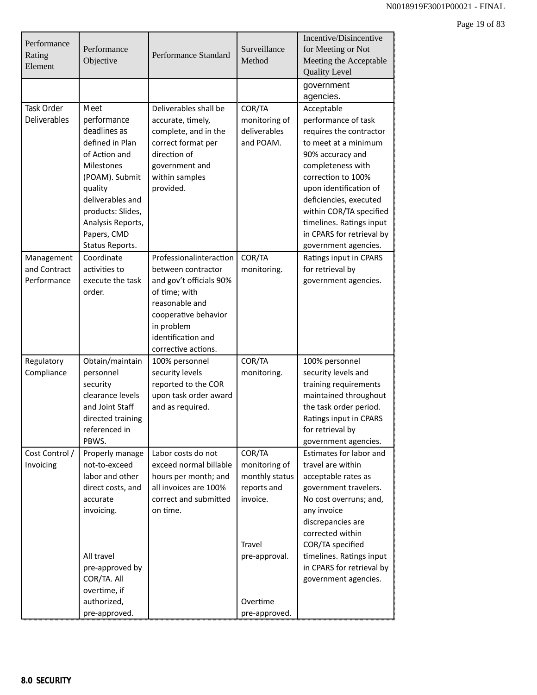## Page 19 of 83

| Performance<br>Rating<br>Element          | Performance<br>Objective                                                                                                                                                                                                  | Performance Standard                                                                                                                                                                           | Surveillance<br>Method                                                                          | Incentive/Disincentive<br>for Meeting or Not<br>Meeting the Acceptable<br><b>Quality Level</b>                                                                                                                                                                                                                      |
|-------------------------------------------|---------------------------------------------------------------------------------------------------------------------------------------------------------------------------------------------------------------------------|------------------------------------------------------------------------------------------------------------------------------------------------------------------------------------------------|-------------------------------------------------------------------------------------------------|---------------------------------------------------------------------------------------------------------------------------------------------------------------------------------------------------------------------------------------------------------------------------------------------------------------------|
|                                           |                                                                                                                                                                                                                           |                                                                                                                                                                                                |                                                                                                 | government<br>agencies.                                                                                                                                                                                                                                                                                             |
| Task Order<br><b>Deliverables</b>         | Meet<br>performance<br>deadlines as<br>defined in Plan<br>of Action and<br><b>Milestones</b><br>(POAM). Submit<br>quality<br>deliverables and<br>products: Slides,<br>Analysis Reports,<br>Papers, CMD<br>Status Reports. | Deliverables shall be<br>accurate, timely,<br>complete, and in the<br>correct format per<br>direction of<br>government and<br>within samples<br>provided.                                      | COR/TA<br>monitoring of<br>deliverables<br>and POAM.                                            | Acceptable<br>performance of task<br>requires the contractor<br>to meet at a minimum<br>90% accuracy and<br>completeness with<br>correction to 100%<br>upon identification of<br>deficiencies, executed<br>within COR/TA specified<br>timelines. Ratings input<br>in CPARS for retrieval by<br>government agencies. |
| Management<br>and Contract<br>Performance | Coordinate<br>activities to<br>execute the task<br>order.                                                                                                                                                                 | Professionalinteraction<br>between contractor<br>and gov't officials 90%<br>of time; with<br>reasonable and<br>cooperative behavior<br>in problem<br>identification and<br>corrective actions. | COR/TA<br>monitoring.                                                                           | Ratings input in CPARS<br>for retrieval by<br>government agencies.                                                                                                                                                                                                                                                  |
| Regulatory<br>Compliance                  | Obtain/maintain<br>personnel<br>security<br>clearance levels<br>and Joint Staff<br>directed training<br>referenced in<br>PBWS.                                                                                            | 100% personnel<br>security levels<br>reported to the COR<br>upon task order award<br>and as required.                                                                                          | COR/TA<br>monitoring.                                                                           | 100% personnel<br>security levels and<br>training requirements<br>maintained throughout<br>the task order period.<br>Ratings input in CPARS<br>for retrieval by<br>government agencies.                                                                                                                             |
| Cost Control /<br>Invoicing               | Properly manage<br>not-to-exceed<br>labor and other<br>direct costs, and<br>accurate<br>invoicing.<br>All travel<br>pre-approved by                                                                                       | Labor costs do not<br>exceed normal billable<br>hours per month; and<br>all invoices are 100%<br>correct and submitted<br>on time.                                                             | COR/TA<br>monitoring of<br>monthly status<br>reports and<br>invoice.<br>Travel<br>pre-approval. | Estimates for labor and<br>travel are within<br>acceptable rates as<br>government travelers.<br>No cost overruns; and,<br>any invoice<br>discrepancies are<br>corrected within<br>COR/TA specified<br>timelines. Ratings input<br>in CPARS for retrieval by                                                         |
|                                           | COR/TA. All<br>overtime, if<br>authorized,<br>pre-approved.                                                                                                                                                               |                                                                                                                                                                                                | Overtime<br>pre-approved.                                                                       | government agencies.                                                                                                                                                                                                                                                                                                |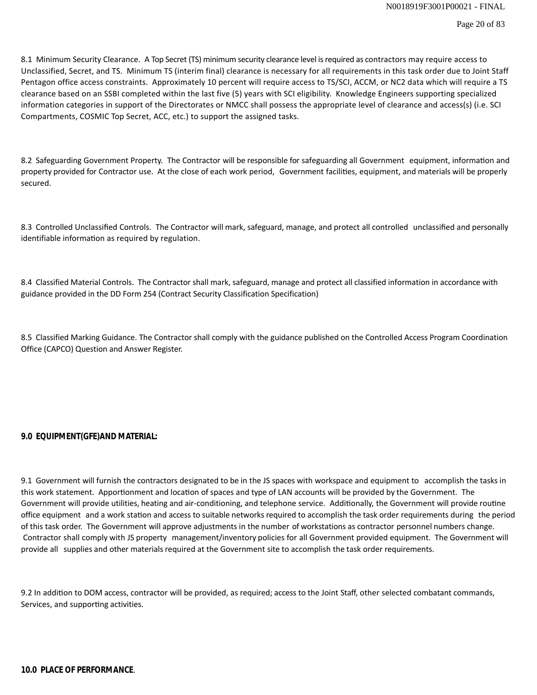8.1 Minimum Security Clearance. A Top Secret (TS) minimum security clearance level is required as contractors may require access to Unclassified, Secret, and TS. Minimum TS (interim final) clearance is necessary for all requirements in this task order due to Joint Staff Pentagon office access constraints. Approximately 10 percent will require access to TS/SCI, ACCM, or NC2 data which will require a TS clearance based on an SSBI completed within the last five (5) years with SCI eligibility. Knowledge Engineers supporting specialized information categories in support of the Directorates or NMCC shall possess the appropriate level of clearance and access(s) (i.e. SCI Compartments, COSMIC Top Secret, ACC, etc.) to support the assigned tasks.

8.2 Safeguarding Government Property. The Contractor will be responsible for safeguarding all Government equipment, information and property provided for Contractor use. At the close of each work period, Government facilities, equipment, and materials will be properly secured.

8.3 Controlled Unclassified Controls. The Contractor will mark, safeguard, manage, and protect all controlled unclassified and personally identifiable information as required by regulation.

8.4 Classified Material Controls. The Contractor shall mark, safeguard, manage and protect all classified information in accordance with guidance provided in the DD Form 254 (Contract Security Classification Specification)

8.5 Classified Marking Guidance. The Contractor shall comply with the guidance published on the Controlled Access Program Coordination Office (CAPCO) Question and Answer Register.

#### **9.0 EQUIPMENT(GFE)AND MATERIAL:**

9.1 Government will furnish the contractors designated to be in the JS spaces with workspace and equipment to accomplish the tasks in this work statement. Apportionment and location of spaces and type of LAN accounts will be provided by the Government. The Government will provide utilities, heating and air-conditioning, and telephone service. Additionally, the Government will provide routine office equipment and a work station and access to suitable networks required to accomplish the task order requirements during the period of this task order. The Government will approve adjustments in the number of workstations as contractor personnel numbers change. Contractor shall comply with JS property management/inventory policies for all Government provided equipment. The Government will provide all supplies and other materials required at the Government site to accomplish the task order requirements.

9.2 In addition to DOM access, contractor will be provided, as required; access to the Joint Staff, other selected combatant commands, Services, and supporting activities.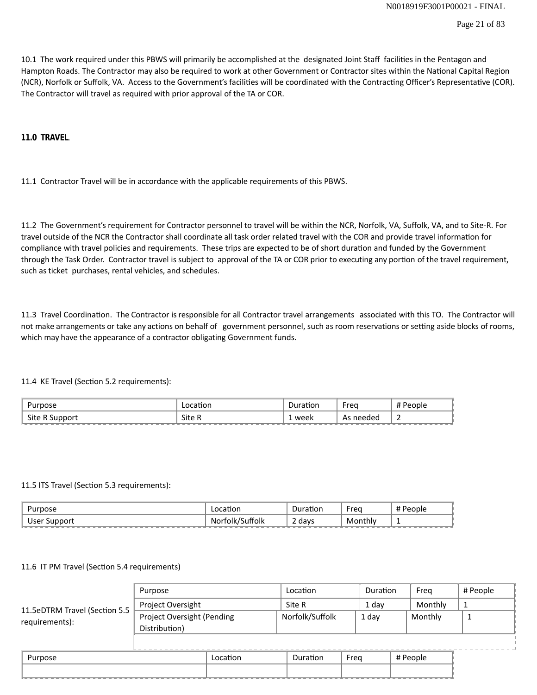Page 21 of 83

10.1 The work required under this PBWS will primarily be accomplished at the designated Joint Staff facilities in the Pentagon and Hampton Roads. The Contractor may also be required to work at other Government or Contractor sites within the National Capital Region (NCR), Norfolk or Suffolk, VA. Access to the Government's facilities will be coordinated with the Contracting Officer's Representative (COR). The Contractor will travel as required with prior approval of the TA or COR.

**11.0 TRAVEL**.

11.1 Contractor Travel will be in accordance with the applicable requirements of this PBWS.

11.2 The Government's requirement for Contractor personnel to travel will be within the NCR, Norfolk, VA, Suffolk, VA, and to Site-R. For travel outside of the NCR the Contractor shall coordinate all task order related travel with the COR and provide travel information for compliance with travel policies and requirements. These trips are expected to be of short duration and funded by the Government through the Task Order. Contractor travel is subject to approval of the TA or COR prior to executing any portion of the travel requirement, such as ticket purchases, rental vehicles, and schedules.

11.3 Travel Coordination. The Contractor is responsible for all Contractor travel arrangements associated with this TO. The Contractor will not make arrangements or take any actions on behalf of government personnel, such as room reservations or setting aside blocks of rooms, which may have the appearance of a contractor obligating Government funds.

11.4 KE Travel (Section 5.2 requirements):

| urpose'                                | _oca'<br>ation | ation<br>⊃ur' | rea        | 'eople |
|----------------------------------------|----------------|---------------|------------|--------|
| $\sim\cdot$ .<br>itc<br>ipport<br>Sire | Site<br>. .    | week          | needeu<br> | - -    |

#### 11.5 ITS Travel (Section 5.3 requirements):

| rpose<br>u             | ം∵<br>cation<br>___              | -<br>tion<br>$  -$<br>. | Fred<br>___  | eople<br>$-$ |
|------------------------|----------------------------------|-------------------------|--------------|--------------|
| User<br>unno<br>uppori | <br>ffolk<br>No.<br>.OIK:<br>эu. | -<br>days<br>-          | M<br>`onthiv |              |

#### 11.6 IT PM Travel (Section 5.4 requirements)

|                                                 | Purpose                                     | Location        | Duration | Frea    | # People |
|-------------------------------------------------|---------------------------------------------|-----------------|----------|---------|----------|
|                                                 | Project Oversight                           | Site R          | 1 dav    | Monthly |          |
| 11.5eDTRM Travel (Section 5.5<br>requirements): | Project Oversight (Pending<br>Distribution) | Norfolk/Suffolk | 1 day    | Monthly |          |

| ルシンこ | ion<br>.<br>$\sim$ | ation | Freg<br>$\sim$ | eople?<br>π. |
|------|--------------------|-------|----------------|--------------|
|      |                    |       |                |              |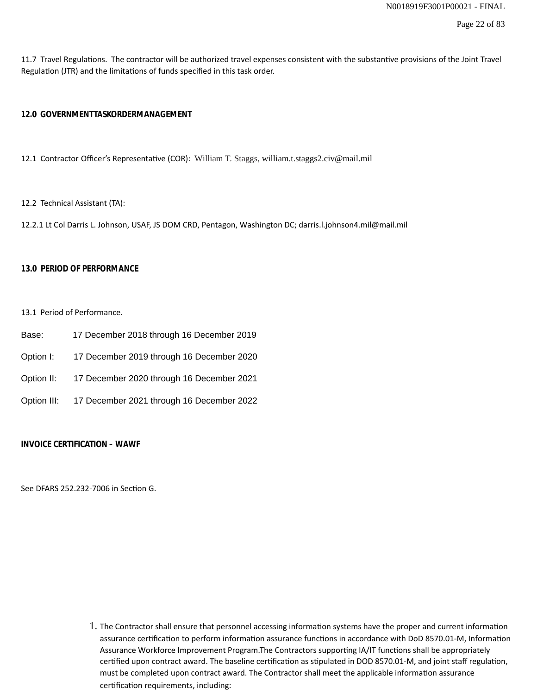Page 22 of 83

11.7 Travel Regulations. The contractor will be authorized travel expenses consistent with the substantive provisions of the Joint Travel Regulation (JTR) and the limitations of funds specified in this task order.

**12.0 GOVERNMENTTASKORDERMANAGEMENT**

12.1 Contractor Officer's Representative (COR): William T. Staggs, william.t.staggs2.civ@mail.mil

12.2 Technical Assistant (TA):

12.2.1 Lt Col Darris L. Johnson, USAF, JS DOM CRD, Pentagon, Washington DC; darris.l.johnson4.mil@mail.mil

#### **13.0 PERIOD OF PERFORMANCE**

13.1 Period of Performance.

- Base: 17 December 2018 through 16 December 2019
- Option I: 17 December 2019 through 16 December 2020
- Option II: 17 December 2020 through 16 December 2021
- Option III: 17 December 2021 through 16 December 2022

**INVOICE CERTIFICATION – WAWF**

See DFARS 252.232-7006 in Section G.

1. The Contractor shall ensure that personnel accessing information systems have the proper and current information assurance certification to perform information assurance functions in accordance with DoD 8570.01-M, Information Assurance Workforce Improvement Program.The Contractors supporting IA/IT functions shall be appropriately certified upon contract award. The baseline certification as stipulated in DOD 8570.01-M, and joint staff regulation, must be completed upon contract award. The Contractor shall meet the applicable information assurance certification requirements, including: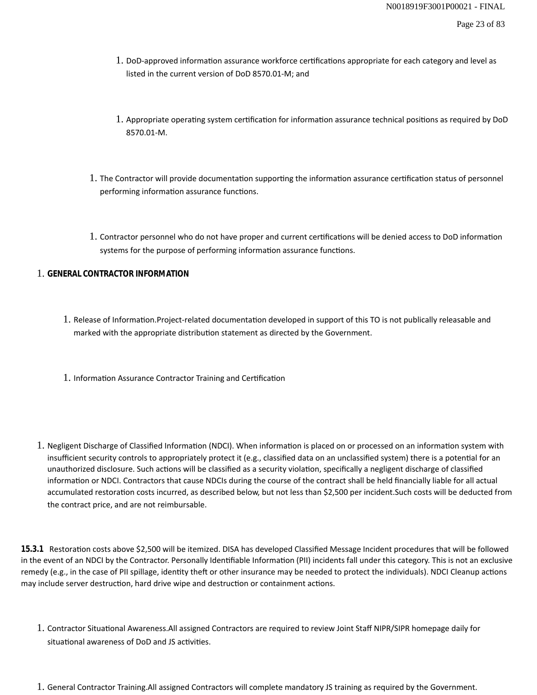Page 23 of 83

- 1. DoD-approved information assurance workforce certifications appropriate for each category and level as listed in the current version of DoD 8570.01-M; and
- 1. Appropriate operating system certification for information assurance technical positions as required by DoD 8570.01-M.
- 1. The Contractor will provide documentation supporting the information assurance certification status of personnel performing information assurance functions.
- 1. Contractor personnel who do not have proper and current certifications will be denied access to DoD information systems for the purpose of performing information assurance functions.

#### 1. **GENERAL CONTRACTOR INFORMATION**

- 1. Release of Information.Project-related documentation developed in support of this TO is not publically releasable and marked with the appropriate distribution statement as directed by the Government.
- 1. Information Assurance Contractor Training and Certification
- 1. Negligent Discharge of Classified Information (NDCI). When information is placed on or processed on an information system with insufficient security controls to appropriately protect it (e.g., classified data on an unclassified system) there is a potential for an unauthorized disclosure. Such actions will be classified as a security violation, specifically a negligent discharge of classified information or NDCI. Contractors that cause NDCIs during the course of the contract shall be held financially liable for all actual accumulated restoration costs incurred, as described below, but not less than \$2,500 per incident.Such costs will be deducted from the contract price, and are not reimbursable.

**15.3.1** RestoraƟon costs above \$2,500 will be itemized. DISA has developed Classified Message Incident procedures that will be followed in the event of an NDCI by the Contractor. Personally Identifiable Information (PII) incidents fall under this category. This is not an exclusive remedy (e.g., in the case of PII spillage, identity theft or other insurance may be needed to protect the individuals). NDCI Cleanup actions may include server destruction, hard drive wipe and destruction or containment actions.

- 1. Contractor Situational Awareness.All assigned Contractors are required to review Joint Staff NIPR/SIPR homepage daily for situational awareness of DoD and JS activities.
- 1. General Contractor Training.All assigned Contractors will complete mandatory JS training as required by the Government.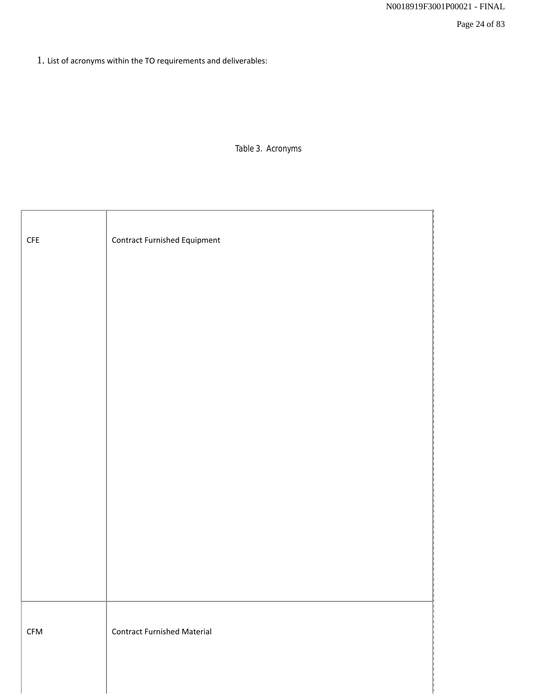Page 24 of 83

1. List of acronyms within the TO requirements and deliverables:

*Table 3. Acronyms*

| $\mathsf{CFE}$        | Contract Furnished Equipment       |
|-----------------------|------------------------------------|
|                       |                                    |
|                       |                                    |
|                       |                                    |
|                       |                                    |
|                       |                                    |
|                       |                                    |
|                       |                                    |
| $\mathsf{CFM}\xspace$ | <b>Contract Furnished Material</b> |
|                       |                                    |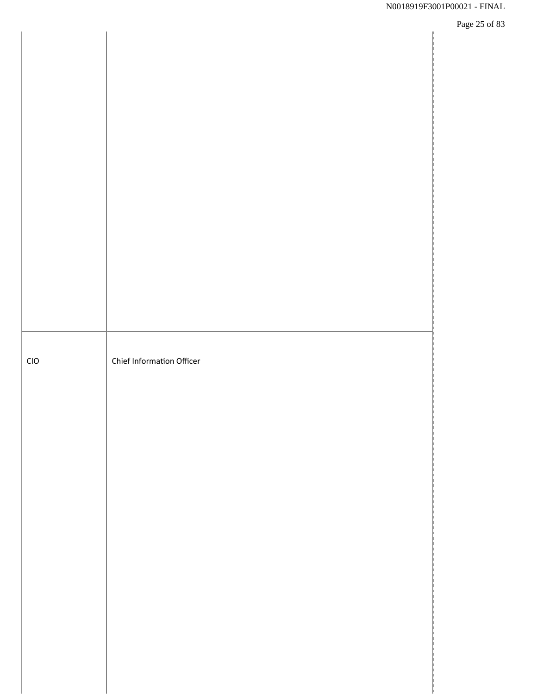Page 25 of 83

|                |                           | I |
|----------------|---------------------------|---|
|                |                           |   |
|                |                           |   |
|                |                           |   |
|                |                           |   |
|                |                           |   |
|                |                           |   |
|                |                           |   |
|                |                           |   |
|                |                           |   |
|                |                           |   |
|                |                           |   |
|                |                           |   |
|                |                           |   |
|                |                           |   |
|                |                           |   |
|                |                           |   |
|                |                           |   |
| $\mathsf{CIO}$ | Chief Information Officer |   |
|                |                           |   |
|                |                           |   |
|                |                           |   |
|                |                           |   |
|                |                           |   |
|                |                           |   |
|                |                           |   |
|                |                           |   |
|                |                           |   |
|                |                           |   |
|                |                           |   |
|                |                           |   |
|                |                           |   |
|                |                           |   |
|                |                           |   |
|                |                           |   |
|                |                           |   |
|                |                           |   |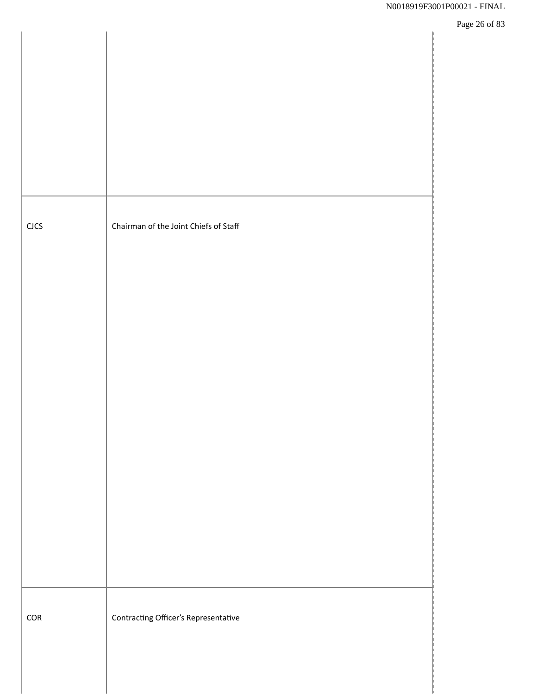ľ

Page 26 of 83

| CICS                  | Chairman of the Joint Chiefs of Staff |  |
|-----------------------|---------------------------------------|--|
|                       |                                       |  |
|                       |                                       |  |
|                       |                                       |  |
|                       |                                       |  |
|                       |                                       |  |
| $\mathsf{COR}\xspace$ | Contracting Officer's Representative  |  |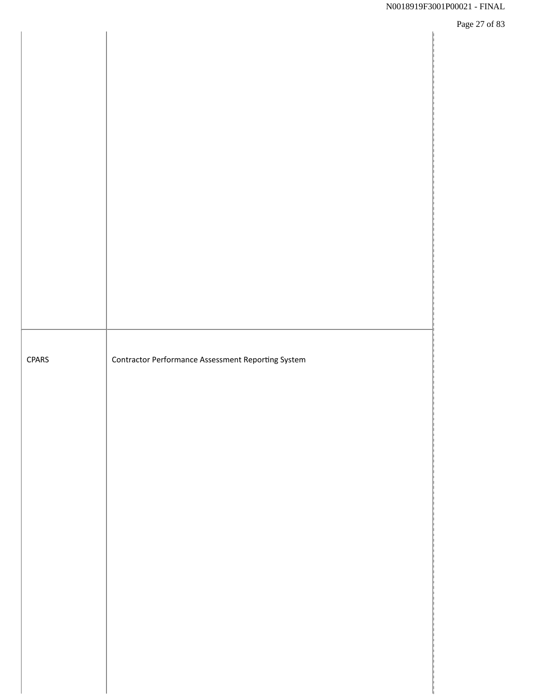Page 27 of 83

|       |                                                           | $\mathbf I$ |
|-------|-----------------------------------------------------------|-------------|
|       |                                                           |             |
|       |                                                           |             |
|       |                                                           |             |
|       |                                                           |             |
|       |                                                           |             |
|       |                                                           |             |
|       |                                                           |             |
|       |                                                           |             |
|       |                                                           |             |
|       |                                                           |             |
|       |                                                           |             |
|       |                                                           |             |
|       |                                                           |             |
|       |                                                           |             |
|       |                                                           |             |
|       |                                                           |             |
|       |                                                           |             |
|       |                                                           |             |
|       |                                                           |             |
|       |                                                           |             |
|       |                                                           |             |
|       |                                                           |             |
|       |                                                           |             |
|       |                                                           |             |
|       |                                                           |             |
| CPARS | <b>Contractor Performance Assessment Reporting System</b> |             |
|       |                                                           |             |
|       |                                                           |             |
|       |                                                           |             |
|       |                                                           |             |
|       |                                                           |             |
|       |                                                           |             |
|       |                                                           |             |
|       |                                                           |             |
|       |                                                           |             |
|       |                                                           |             |
|       |                                                           |             |
|       |                                                           |             |
|       |                                                           |             |
|       |                                                           |             |
|       |                                                           |             |
|       |                                                           |             |
|       |                                                           |             |
|       |                                                           |             |
|       |                                                           |             |
|       |                                                           |             |
|       |                                                           |             |
|       |                                                           |             |
|       |                                                           |             |
|       |                                                           |             |
|       |                                                           |             |
|       |                                                           |             |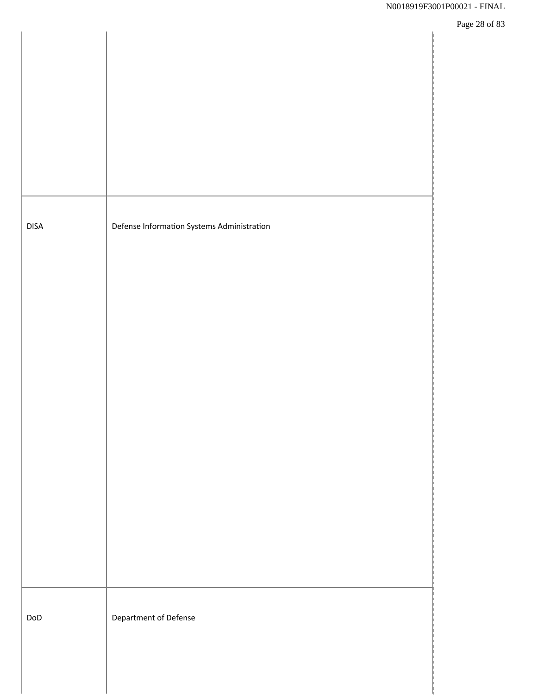Page 28 of 83

| <b>DISA</b>    | Defense Information Systems Administration |
|----------------|--------------------------------------------|
|                |                                            |
|                |                                            |
|                |                                            |
|                |                                            |
| $\textsf{DoD}$ | Department of Defense                      |
|                |                                            |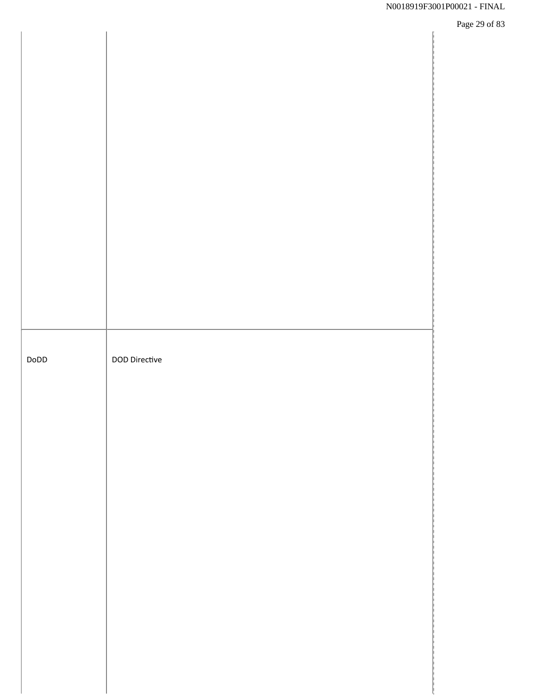Page 29 of 83

| $\texttt{DoDD}{}$ | DOD Directive |  |
|-------------------|---------------|--|
|                   |               |  |
|                   |               |  |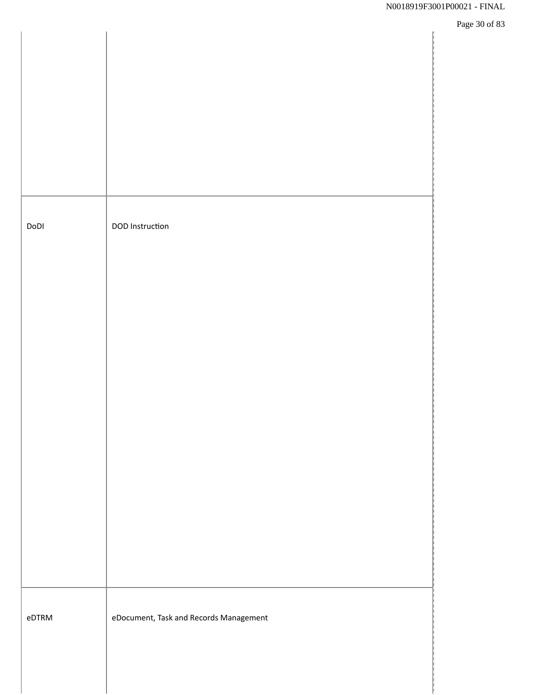Page 30 of 83

| DoDI  | DOD Instruction                        |
|-------|----------------------------------------|
|       |                                        |
|       |                                        |
|       |                                        |
|       |                                        |
|       |                                        |
|       |                                        |
| eDTRM | eDocument, Task and Records Management |
|       |                                        |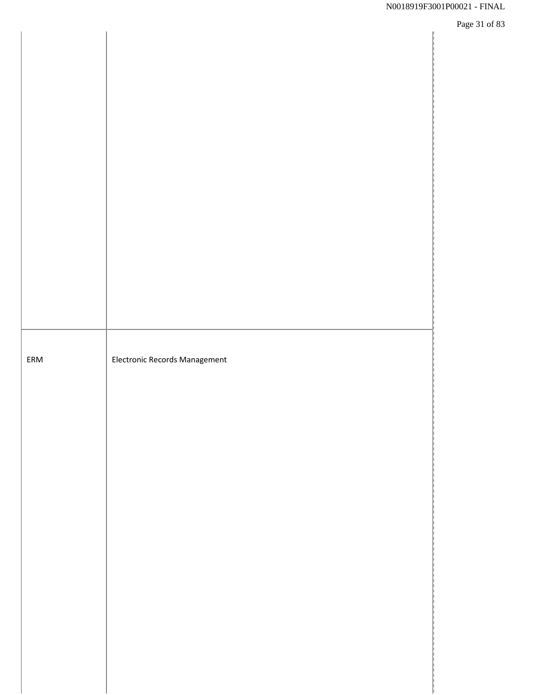Page 31 of 83

|     |                                      | I |
|-----|--------------------------------------|---|
|     |                                      |   |
|     |                                      |   |
|     |                                      |   |
|     |                                      |   |
|     |                                      |   |
|     |                                      |   |
|     |                                      |   |
|     |                                      |   |
|     |                                      |   |
|     |                                      |   |
|     |                                      |   |
|     |                                      |   |
| ERM | <b>Electronic Records Management</b> |   |
|     |                                      |   |
|     |                                      |   |
|     |                                      |   |
|     |                                      |   |
|     |                                      |   |
|     |                                      |   |
|     |                                      |   |
|     |                                      |   |
|     |                                      |   |
|     |                                      |   |
|     |                                      |   |
|     |                                      |   |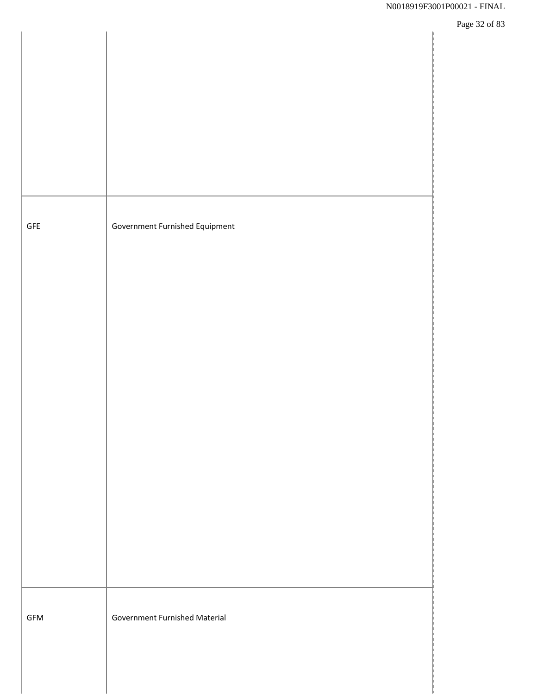| Page 32 of 83 |  |  |
|---------------|--|--|
|               |  |  |

| <b>GFE</b> | Government Furnished Equipment |
|------------|--------------------------------|
|            |                                |
|            |                                |
|            |                                |
|            |                                |
| GFM        | Government Furnished Material  |
|            |                                |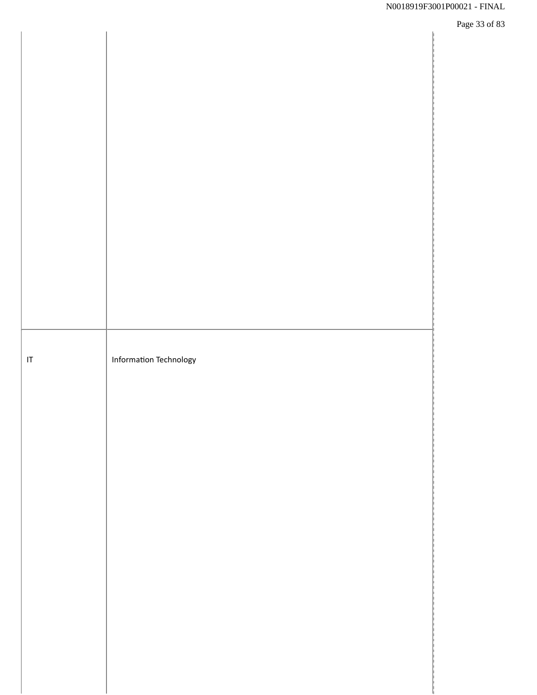Page 33 of 83

| $\sf IT$ | Information Technology |  |
|----------|------------------------|--|
|          |                        |  |
|          |                        |  |
|          |                        |  |
|          |                        |  |
|          |                        |  |
|          |                        |  |
|          |                        |  |
|          |                        |  |
|          |                        |  |
|          |                        |  |
|          |                        |  |
|          |                        |  |
|          |                        |  |
|          |                        |  |
|          |                        |  |
|          |                        |  |
|          |                        |  |
|          |                        |  |
|          |                        |  |
|          |                        |  |
|          |                        |  |
|          |                        |  |
|          |                        |  |
|          |                        |  |
|          |                        |  |
|          |                        |  |
|          |                        |  |
|          |                        |  |
|          |                        |  |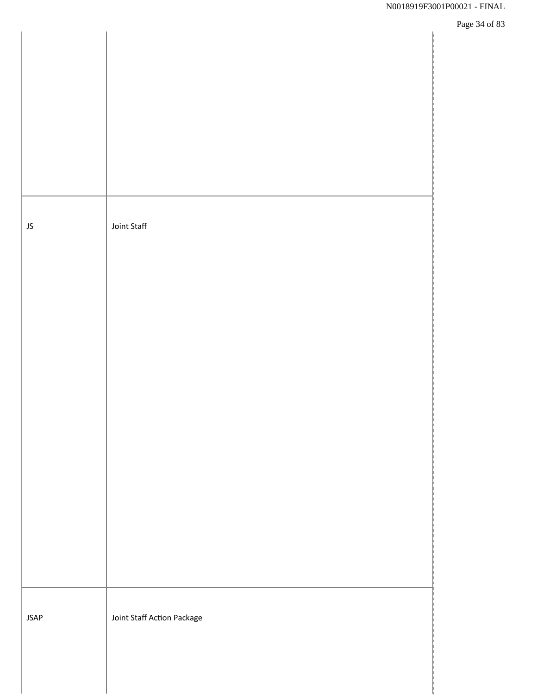Page 34 of 83

| JS          | Joint Staff                |
|-------------|----------------------------|
|             |                            |
|             |                            |
|             |                            |
|             |                            |
| <b>JSAP</b> | Joint Staff Action Package |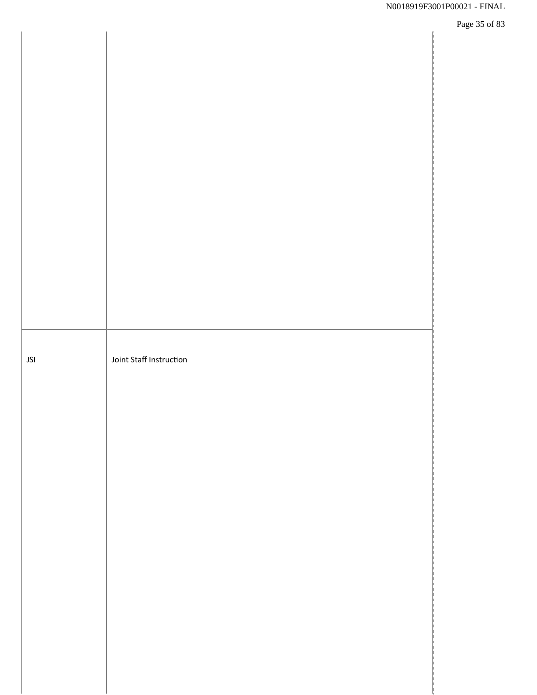Page 35 of 83

| $\ensuremath{\mathsf{JS}}\xspace$ | Joint Staff Instruction |  |
|-----------------------------------|-------------------------|--|
|                                   |                         |  |
|                                   |                         |  |
|                                   |                         |  |
|                                   |                         |  |
|                                   |                         |  |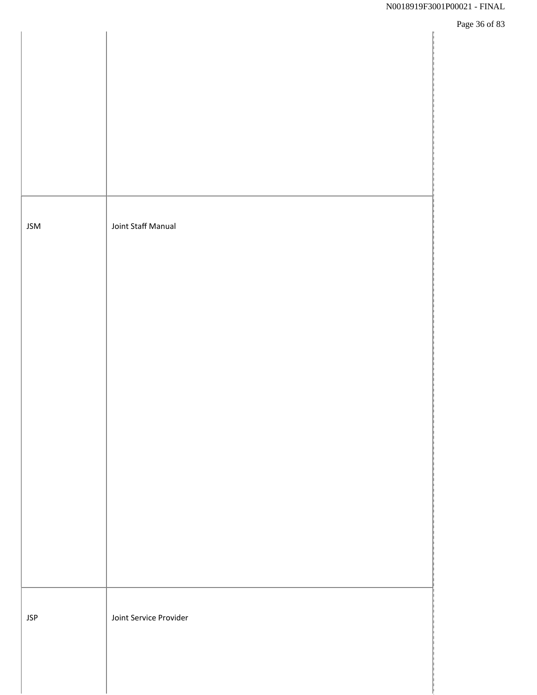Page 36 of 83

| JSM                         | Joint Staff Manual     |  |
|-----------------------------|------------------------|--|
|                             |                        |  |
|                             |                        |  |
|                             |                        |  |
| $\ensuremath{\mathsf{JSP}}$ | Joint Service Provider |  |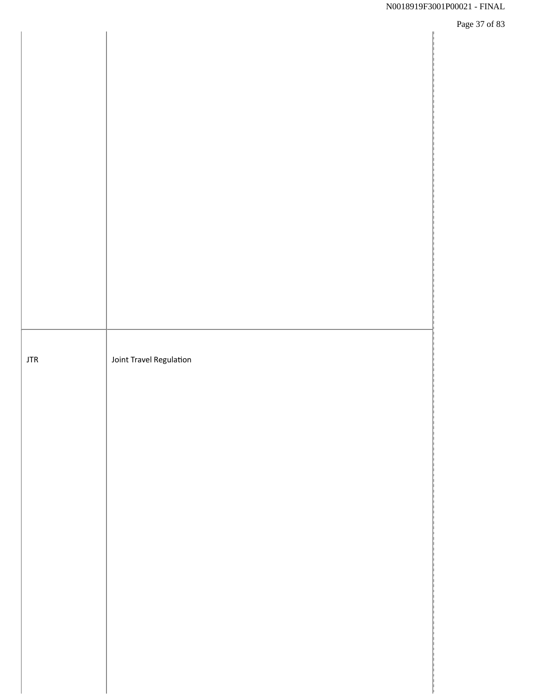Page 37 of 83

| $\mathsf{JTR}$ | Joint Travel Regulation |  |
|----------------|-------------------------|--|
|                |                         |  |
|                |                         |  |
|                |                         |  |
|                |                         |  |
|                |                         |  |
|                |                         |  |
|                |                         |  |
|                |                         |  |
|                |                         |  |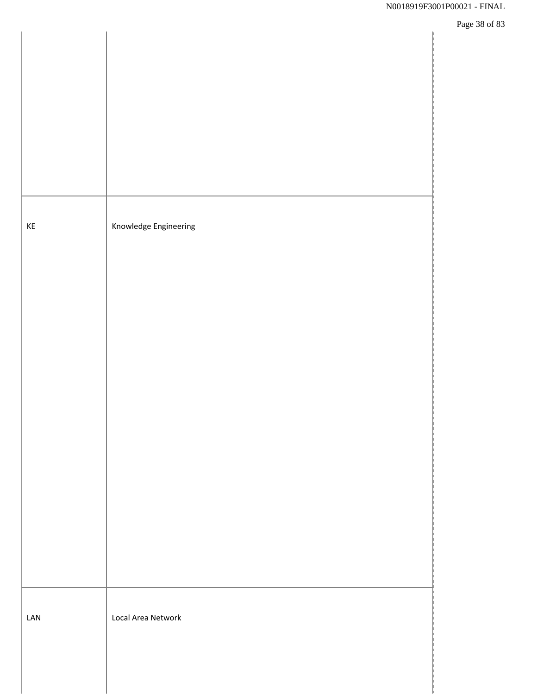Page 38 of 83

| KE  | Knowledge Engineering |
|-----|-----------------------|
|     |                       |
|     |                       |
|     |                       |
| LAN | Local Area Network    |
|     |                       |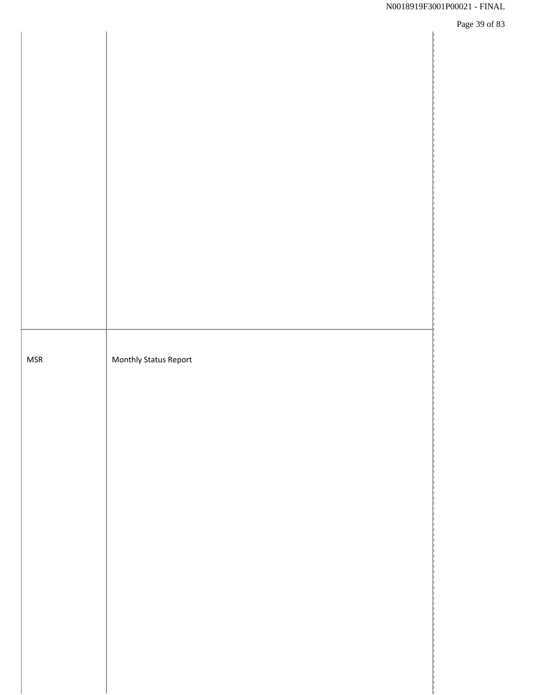Page 39 of 83

| <b>MSR</b> | Monthly Status Report |  |
|------------|-----------------------|--|
|            |                       |  |
|            |                       |  |
|            |                       |  |
|            |                       |  |
|            |                       |  |
|            |                       |  |
|            |                       |  |
|            |                       |  |
|            |                       |  |
|            |                       |  |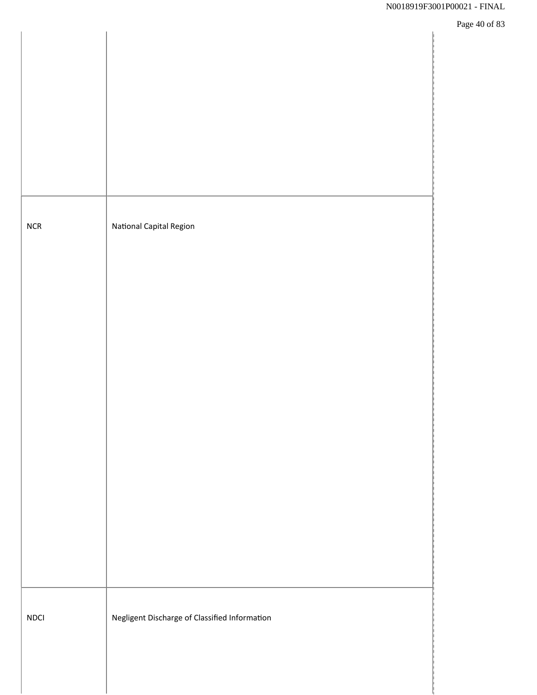| Page 40 of 83 |  |  |  |
|---------------|--|--|--|
|---------------|--|--|--|

| ${\sf NCR}$ | National Capital Region                       |
|-------------|-----------------------------------------------|
|             |                                               |
|             |                                               |
|             |                                               |
|             |                                               |
| <b>NDCI</b> | Negligent Discharge of Classified Information |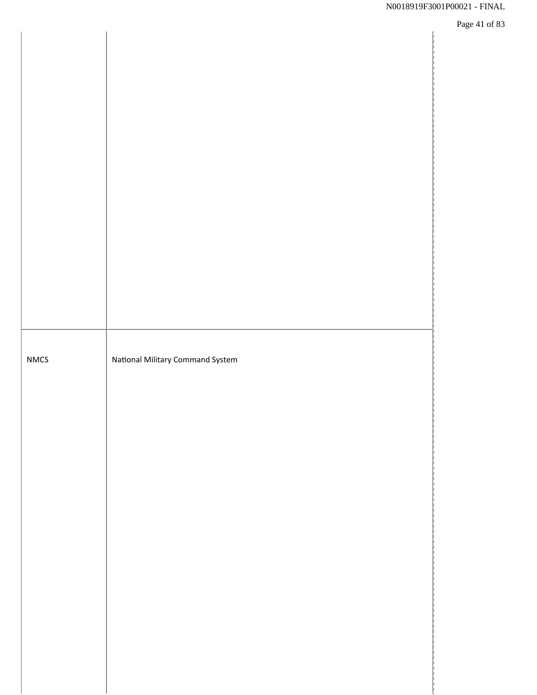age 41 of 83

|                        |                                  | $P_{\zeta}$ |
|------------------------|----------------------------------|-------------|
|                        |                                  |             |
|                        |                                  |             |
|                        |                                  |             |
|                        |                                  |             |
|                        |                                  |             |
|                        |                                  |             |
|                        |                                  |             |
|                        |                                  |             |
|                        |                                  |             |
|                        |                                  |             |
|                        |                                  |             |
|                        |                                  |             |
|                        |                                  |             |
|                        |                                  |             |
|                        |                                  |             |
|                        |                                  |             |
|                        |                                  |             |
|                        |                                  |             |
|                        |                                  |             |
|                        |                                  |             |
|                        |                                  |             |
|                        |                                  |             |
|                        |                                  |             |
| $\mathsf{NMCS}\xspace$ | National Military Command System |             |
|                        |                                  |             |
|                        |                                  |             |
|                        |                                  |             |
|                        |                                  |             |
|                        |                                  |             |
|                        |                                  |             |
|                        |                                  |             |
|                        |                                  |             |
|                        |                                  |             |
|                        |                                  |             |
|                        |                                  |             |
|                        |                                  |             |
|                        |                                  |             |
|                        |                                  |             |
|                        |                                  |             |
|                        |                                  |             |
|                        |                                  |             |
|                        |                                  |             |
|                        |                                  |             |
|                        |                                  |             |
|                        |                                  |             |
|                        |                                  |             |
|                        |                                  |             |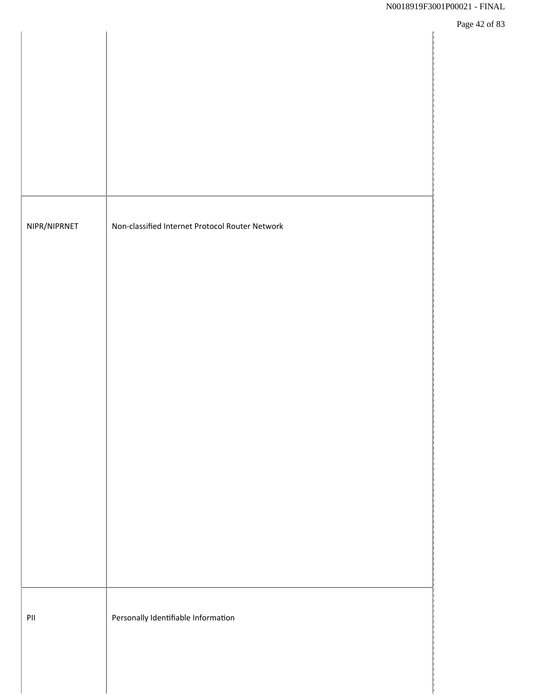| NIPR/NIPRNET   | Non-classified Internet Protocol Router Network |  |
|----------------|-------------------------------------------------|--|
|                |                                                 |  |
|                |                                                 |  |
|                |                                                 |  |
|                |                                                 |  |
| $\mathsf{PII}$ | Personally Identifiable Information             |  |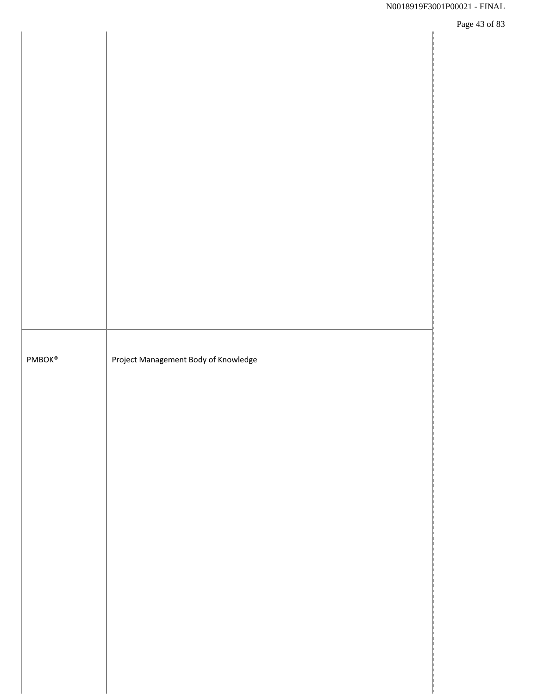Page 43 of 83

| <b>PMBOK®</b> | Project Management Body of Knowledge |  |
|---------------|--------------------------------------|--|
|               |                                      |  |
|               |                                      |  |
|               |                                      |  |
|               |                                      |  |
|               |                                      |  |
|               |                                      |  |
|               |                                      |  |
|               |                                      |  |
|               |                                      |  |
|               |                                      |  |
|               |                                      |  |
|               |                                      |  |
|               |                                      |  |
|               |                                      |  |
|               |                                      |  |
|               |                                      |  |
|               |                                      |  |
|               |                                      |  |
|               |                                      |  |
|               |                                      |  |
|               |                                      |  |
|               |                                      |  |
|               |                                      |  |
|               |                                      |  |
|               |                                      |  |
|               |                                      |  |
|               |                                      |  |
|               |                                      |  |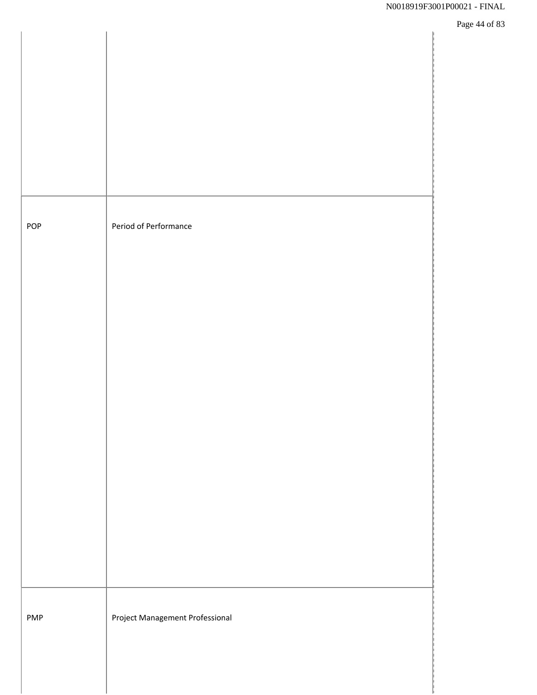|  | Page 44 of 83 |  |  |  |
|--|---------------|--|--|--|
|--|---------------|--|--|--|

| POP | Period of Performance           |
|-----|---------------------------------|
|     |                                 |
|     |                                 |
|     |                                 |
|     |                                 |
| PMP | Project Management Professional |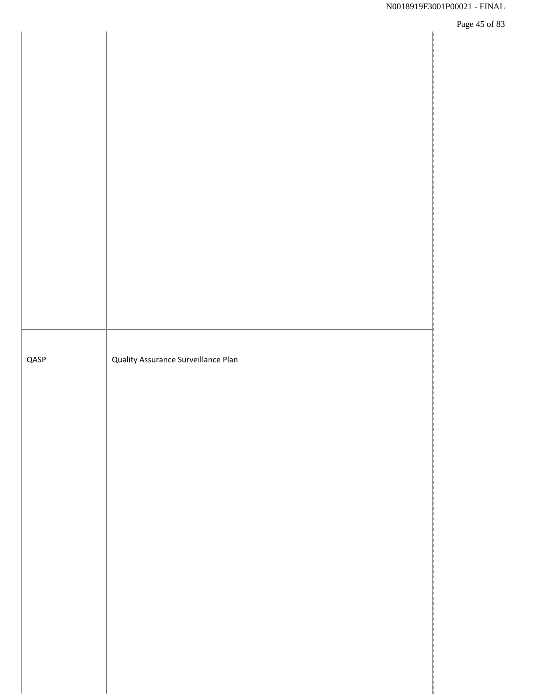ge 45 of 83

|      |                                     | Pa |
|------|-------------------------------------|----|
|      |                                     |    |
|      |                                     |    |
|      |                                     |    |
|      |                                     |    |
|      |                                     |    |
|      |                                     |    |
|      |                                     |    |
|      |                                     |    |
|      |                                     |    |
|      |                                     |    |
|      |                                     |    |
|      |                                     |    |
|      |                                     |    |
|      |                                     |    |
|      |                                     |    |
|      |                                     |    |
|      |                                     |    |
|      |                                     |    |
|      |                                     |    |
|      |                                     |    |
| QASP | Quality Assurance Surveillance Plan |    |
|      |                                     |    |
|      |                                     |    |
|      |                                     |    |
|      |                                     |    |
|      |                                     |    |
|      |                                     |    |
|      |                                     |    |
|      |                                     |    |
|      |                                     |    |
|      |                                     |    |
|      |                                     |    |
|      |                                     |    |
|      |                                     |    |
|      |                                     |    |
|      |                                     |    |
|      |                                     |    |
|      |                                     |    |
|      |                                     |    |
|      |                                     |    |
|      |                                     |    |
|      |                                     |    |
|      |                                     |    |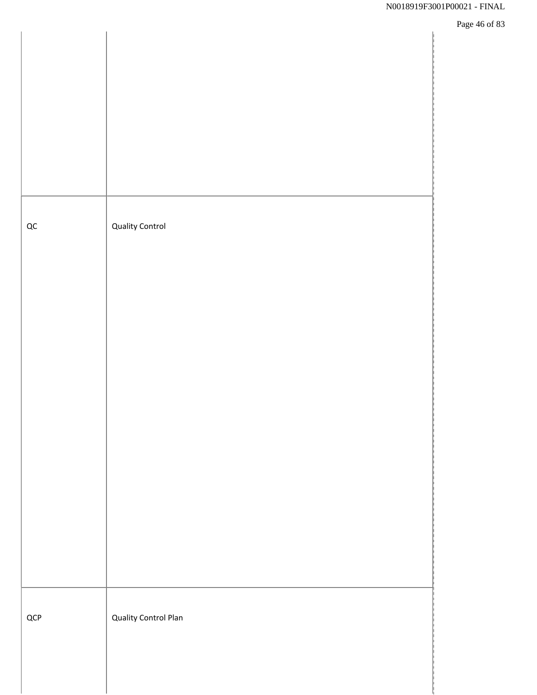Page 46 of 83

| $\mathsf{QC}$ | <b>Quality Control</b> |
|---------------|------------------------|
|               |                        |
|               |                        |
|               |                        |
|               |                        |
|               |                        |
|               |                        |
| QCP           | Quality Control Plan   |
|               |                        |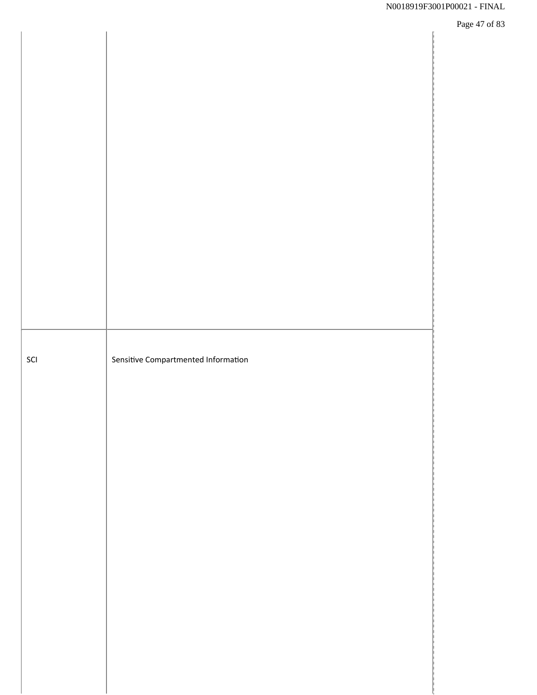Page 47 of 83

|           |                                     | $\mathbf{P}$ |
|-----------|-------------------------------------|--------------|
|           |                                     |              |
|           |                                     |              |
| $\sf SCI$ | Sensitive Compartmented Information |              |
|           |                                     |              |
|           |                                     |              |
|           |                                     |              |
|           |                                     |              |
|           |                                     |              |
|           |                                     |              |
|           |                                     |              |
|           |                                     |              |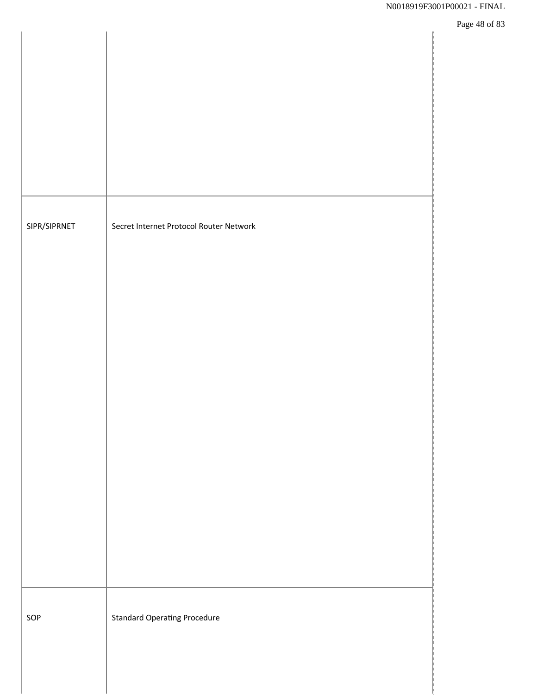Page 48 of 83

| SIPR/SIPRNET | Secret Internet Protocol Router Network |
|--------------|-----------------------------------------|
|              |                                         |
|              |                                         |
|              |                                         |
|              |                                         |
|              |                                         |
|              |                                         |
|              |                                         |
|              |                                         |
|              |                                         |
| SOP          | <b>Standard Operating Procedure</b>     |
|              |                                         |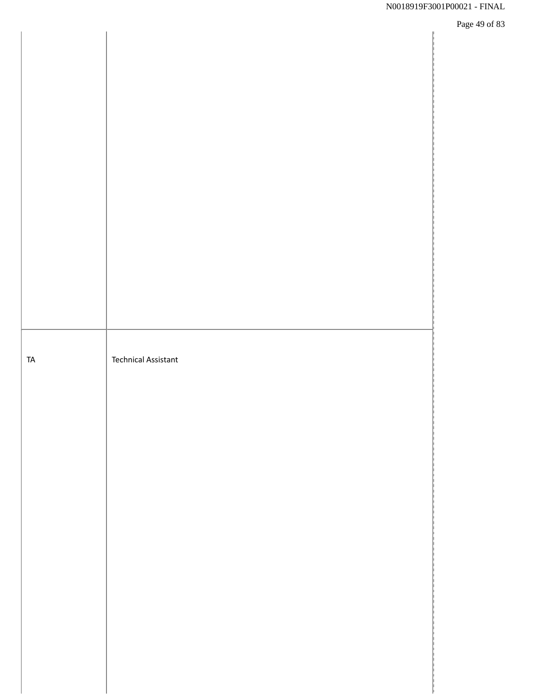Page 49 of 83

| TA | <b>Technical Assistant</b> |  |
|----|----------------------------|--|
|    |                            |  |
|    |                            |  |
|    |                            |  |
|    |                            |  |
|    |                            |  |
|    |                            |  |
|    |                            |  |
|    |                            |  |
|    |                            |  |
|    |                            |  |
|    |                            |  |
|    |                            |  |
|    |                            |  |
|    |                            |  |
|    |                            |  |
|    |                            |  |
|    |                            |  |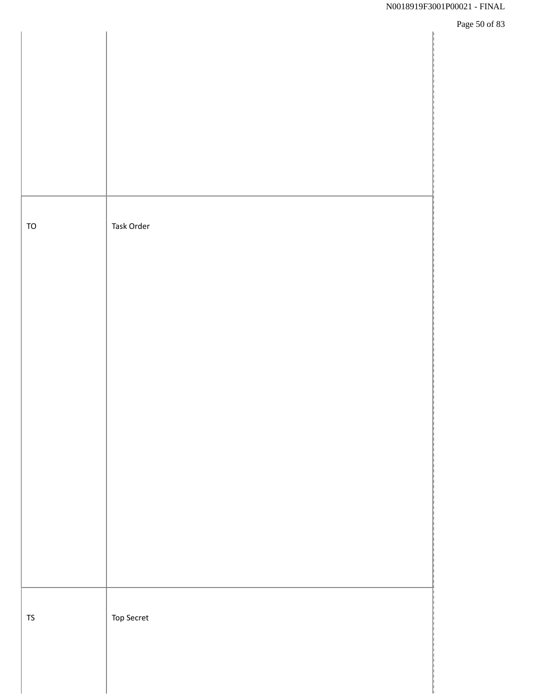Page 50 of 83

| ${\tt TO}$ | Task Order |  |
|------------|------------|--|
|            |            |  |
|            |            |  |
|            |            |  |
|            |            |  |
|            |            |  |
|            |            |  |
|            |            |  |
|            |            |  |
|            |            |  |
|            |            |  |
|            |            |  |
|            |            |  |
|            |            |  |
|            |            |  |
|            |            |  |
|            |            |  |
|            |            |  |
|            |            |  |
|            |            |  |
|            |            |  |
|            |            |  |
|            |            |  |
|            |            |  |
|            |            |  |
| ${\sf TS}$ | Top Secret |  |
|            |            |  |
|            |            |  |
|            |            |  |
|            |            |  |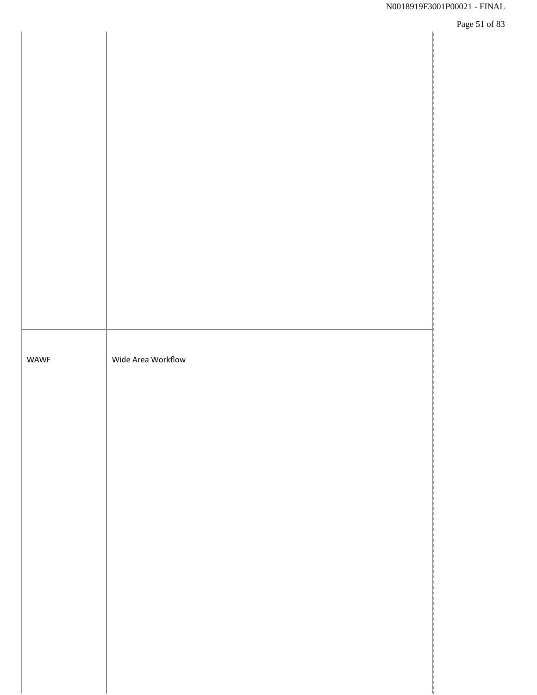Page 51 of 83

|             | Wide Area Workflow |  |
|-------------|--------------------|--|
| <b>WAWF</b> |                    |  |
|             |                    |  |
|             |                    |  |
|             |                    |  |
|             |                    |  |
|             |                    |  |
|             |                    |  |
|             |                    |  |
|             |                    |  |
|             |                    |  |
|             |                    |  |
|             |                    |  |
|             |                    |  |
|             |                    |  |
|             |                    |  |
|             |                    |  |
|             |                    |  |
|             |                    |  |
|             |                    |  |
|             |                    |  |
|             |                    |  |
|             |                    |  |
|             |                    |  |
|             |                    |  |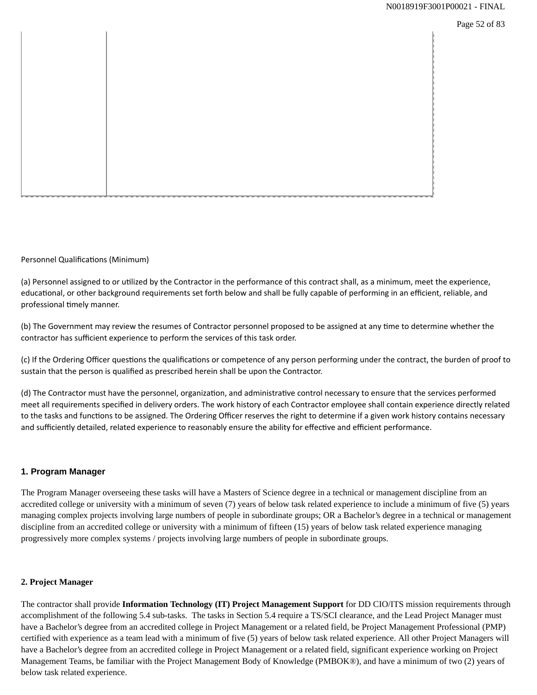

Personnel Qualifications (Minimum)

(a) Personnel assigned to or utilized by the Contractor in the performance of this contract shall, as a minimum, meet the experience, educational, or other background requirements set forth below and shall be fully capable of performing in an efficient, reliable, and professional timely manner.

(b) The Government may review the resumes of Contractor personnel proposed to be assigned at any time to determine whether the contractor has sufficient experience to perform the services of this task order.

(c) If the Ordering Officer questions the qualifications or competence of any person performing under the contract, the burden of proof to sustain that the person is qualified as prescribed herein shall be upon the Contractor.

(d) The Contractor must have the personnel, organization, and administrative control necessary to ensure that the services performed meet all requirements specified in delivery orders. The work history of each Contractor employee shall contain experience directly related to the tasks and functions to be assigned. The Ordering Officer reserves the right to determine if a given work history contains necessary and sufficiently detailed, related experience to reasonably ensure the ability for effective and efficient performance.

#### **1. Program Manager**

The Program Manager overseeing these tasks will have a Masters of Science degree in a technical or management discipline from an accredited college or university with a minimum of seven (7) years of below task related experience to include a minimum of five (5) years managing complex projects involving large numbers of people in subordinate groups; OR a Bachelor's degree in a technical or management discipline from an accredited college or university with a minimum of fifteen (15) years of below task related experience managing progressively more complex systems / projects involving large numbers of people in subordinate groups.

#### **2. Project Manager**

The contractor shall provide **Information Technology (IT) Project Management Support** for DD CIO/ITS mission requirements through accomplishment of the following 5.4 sub-tasks. The tasks in Section 5.4 require a TS/SCI clearance, and the Lead Project Manager must have a Bachelor's degree from an accredited college in Project Management or a related field, be Project Management Professional (PMP) certified with experience as a team lead with a minimum of five (5) years of below task related experience. All other Project Managers will have a Bachelor's degree from an accredited college in Project Management or a related field, significant experience working on Project Management Teams, be familiar with the Project Management Body of Knowledge (PMBOK®), and have a minimum of two (2) years of below task related experience.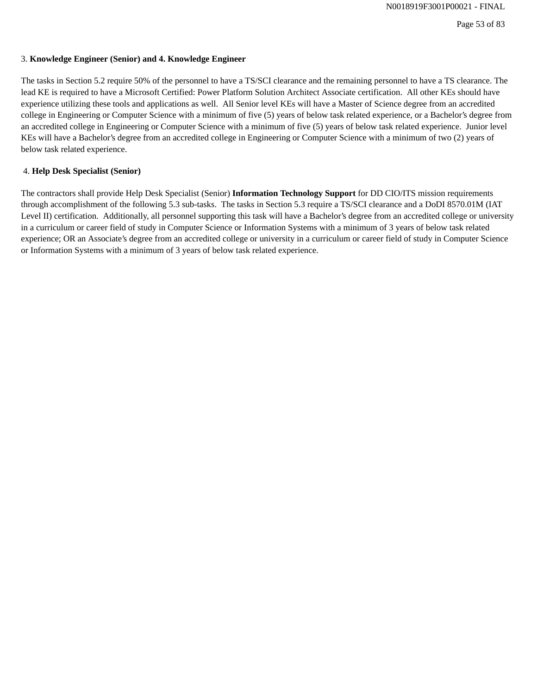Page 53 of 83

#### 3. **Knowledge Engineer (Senior) and 4. Knowledge Engineer**

The tasks in Section 5.2 require 50% of the personnel to have a TS/SCI clearance and the remaining personnel to have a TS clearance. The lead KE is required to have a Microsoft Certified: Power Platform Solution Architect Associate certification. All other KEs should have experience utilizing these tools and applications as well. All Senior level KEs will have a Master of Science degree from an accredited college in Engineering or Computer Science with a minimum of five (5) years of below task related experience, or a Bachelor's degree from an accredited college in Engineering or Computer Science with a minimum of five (5) years of below task related experience. Junior level KEs will have a Bachelor's degree from an accredited college in Engineering or Computer Science with a minimum of two (2) years of below task related experience.

#### 4. **Help Desk Specialist (Senior)**

The contractors shall provide Help Desk Specialist (Senior) **Information Technology Support** for DD CIO/ITS mission requirements through accomplishment of the following 5.3 sub-tasks. The tasks in Section 5.3 require a TS/SCI clearance and a DoDI 8570.01M (IAT Level II) certification. Additionally, all personnel supporting this task will have a Bachelor's degree from an accredited college or university in a curriculum or career field of study in Computer Science or Information Systems with a minimum of 3 years of below task related experience; OR an Associate's degree from an accredited college or university in a curriculum or career field of study in Computer Science or Information Systems with a minimum of 3 years of below task related experience.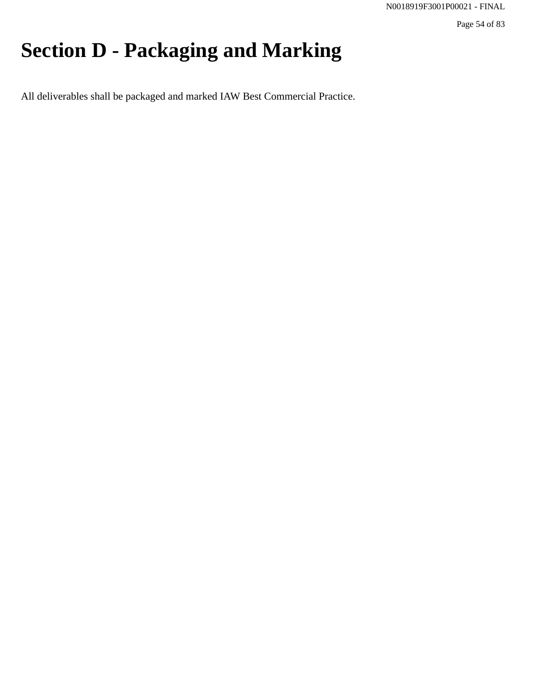Page 54 of 83

# **Section D - Packaging and Marking**

All deliverables shall be packaged and marked IAW Best Commercial Practice.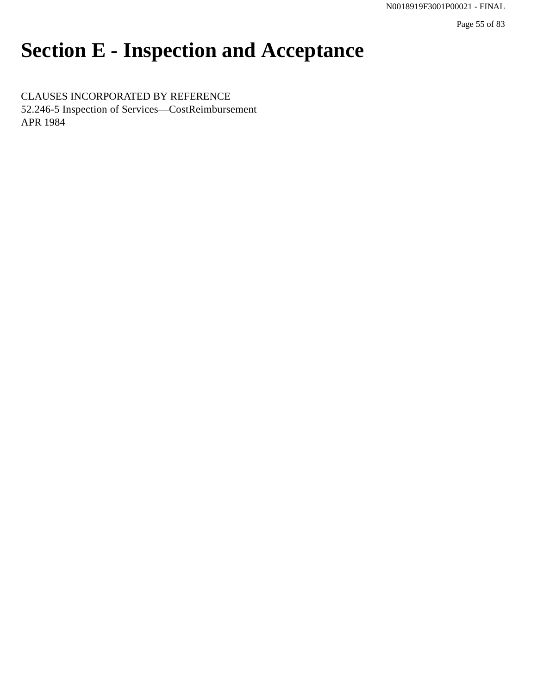Page 55 of 83

# **Section E - Inspection and Acceptance**

CLAUSES INCORPORATED BY REFERENCE

52.246-5 Inspection of Services—CostReimbursement APR 1984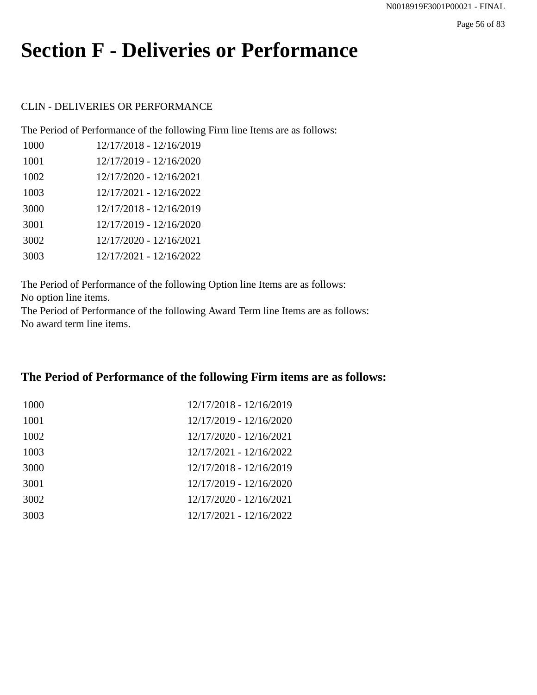Page 56 of 83

# **Section F - Deliveries or Performance**

# CLIN - DELIVERIES OR PERFORMANCE

The Period of Performance of the following Firm line Items are as follows:

| 1000 | 12/17/2018 - 12/16/2019 |
|------|-------------------------|
| 1001 | 12/17/2019 - 12/16/2020 |
| 1002 | 12/17/2020 - 12/16/2021 |
| 1003 | 12/17/2021 - 12/16/2022 |
| 3000 | 12/17/2018 - 12/16/2019 |
| 3001 | 12/17/2019 - 12/16/2020 |
| 3002 | 12/17/2020 - 12/16/2021 |
| 3003 | 12/17/2021 - 12/16/2022 |
|      |                         |

The Period of Performance of the following Option line Items are as follows: No option line items.

The Period of Performance of the following Award Term line Items are as follows: No award term line items.

# **The Period of Performance of the following Firm items are as follows:**

| 1000 | 12/17/2018 - 12/16/2019 |
|------|-------------------------|
| 1001 | 12/17/2019 - 12/16/2020 |
| 1002 | 12/17/2020 - 12/16/2021 |
| 1003 | 12/17/2021 - 12/16/2022 |
| 3000 | 12/17/2018 - 12/16/2019 |
| 3001 | 12/17/2019 - 12/16/2020 |
| 3002 | 12/17/2020 - 12/16/2021 |
| 3003 | 12/17/2021 - 12/16/2022 |
|      |                         |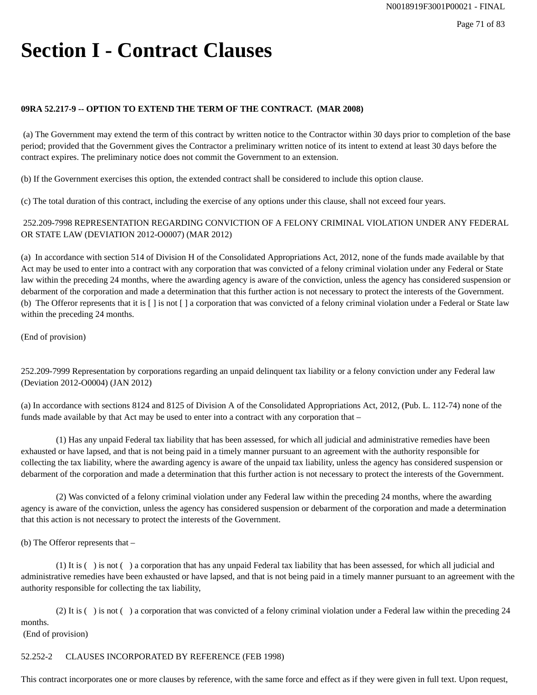Page 71 of 83

# **Section I - Contract Clauses**

# **09RA 52.217-9 -- OPTION TO EXTEND THE TERM OF THE CONTRACT. (MAR 2008)**

 (a) The Government may extend the term of this contract by written notice to the Contractor within 30 days prior to completion of the base period; provided that the Government gives the Contractor a preliminary written notice of its intent to extend at least 30 days before the contract expires. The preliminary notice does not commit the Government to an extension.

(b) If the Government exercises this option, the extended contract shall be considered to include this option clause.

(c) The total duration of this contract, including the exercise of any options under this clause, shall not exceed four years.

 252.209-7998 REPRESENTATION REGARDING CONVICTION OF A FELONY CRIMINAL VIOLATION UNDER ANY FEDERAL OR STATE LAW (DEVIATION 2012-O0007) (MAR 2012)

(a) In accordance with section 514 of Division H of the Consolidated Appropriations Act, 2012, none of the funds made available by that Act may be used to enter into a contract with any corporation that was convicted of a felony criminal violation under any Federal or State law within the preceding 24 months, where the awarding agency is aware of the conviction, unless the agency has considered suspension or debarment of the corporation and made a determination that this further action is not necessary to protect the interests of the Government. (b) The Offeror represents that it is [ ] is not [ ] a corporation that was convicted of a felony criminal violation under a Federal or State law within the preceding 24 months.

(End of provision)

252.209-7999 Representation by corporations regarding an unpaid delinquent tax liability or a felony conviction under any Federal law (Deviation 2012-O0004) (JAN 2012)

(a) In accordance with sections 8124 and 8125 of Division A of the Consolidated Appropriations Act, 2012, (Pub. L. 112-74) none of the funds made available by that Act may be used to enter into a contract with any corporation that –

 (1) Has any unpaid Federal tax liability that has been assessed, for which all judicial and administrative remedies have been exhausted or have lapsed, and that is not being paid in a timely manner pursuant to an agreement with the authority responsible for collecting the tax liability, where the awarding agency is aware of the unpaid tax liability, unless the agency has considered suspension or debarment of the corporation and made a determination that this further action is not necessary to protect the interests of the Government.

 (2) Was convicted of a felony criminal violation under any Federal law within the preceding 24 months, where the awarding agency is aware of the conviction, unless the agency has considered suspension or debarment of the corporation and made a determination that this action is not necessary to protect the interests of the Government.

(b) The Offeror represents that –

 (1) It is ( ) is not ( ) a corporation that has any unpaid Federal tax liability that has been assessed, for which all judicial and administrative remedies have been exhausted or have lapsed, and that is not being paid in a timely manner pursuant to an agreement with the authority responsible for collecting the tax liability,

 (2) It is ( ) is not ( ) a corporation that was convicted of a felony criminal violation under a Federal law within the preceding 24 months. (End of provision)

# 52.252-2 CLAUSES INCORPORATED BY REFERENCE (FEB 1998)

This contract incorporates one or more clauses by reference, with the same force and effect as if they were given in full text. Upon request,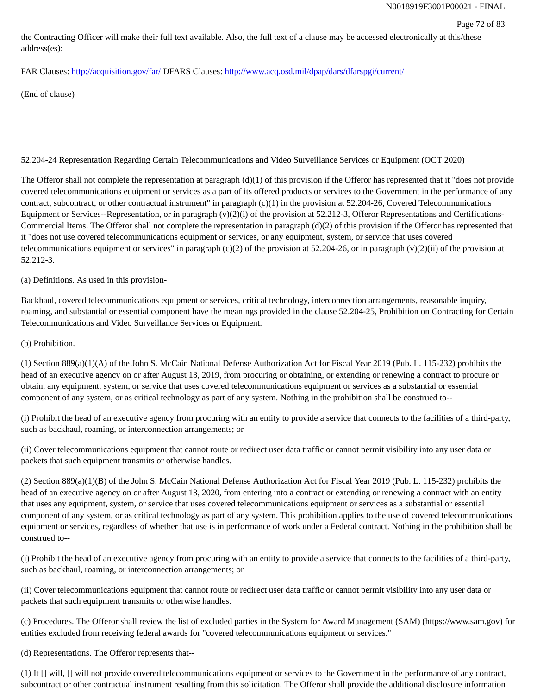the Contracting Officer will make their full text available. Also, the full text of a clause may be accessed electronically at this/these address(es):

FAR Clauses: http://acquisition.gov/far/ DFARS Clauses: http://www.acq.osd.mil/dpap/dars/dfarspgi/current/

(End of clause)

#### 52.204-24 Representation Regarding Certain Telecommunications and Video Surveillance Services or Equipment (OCT 2020)

The Offeror shall not complete the representation at paragraph (d)(1) of this provision if the Offeror has represented that it "does not provide covered telecommunications equipment or services as a part of its offered products or services to the Government in the performance of any contract, subcontract, or other contractual instrument" in paragraph (c)(1) in the provision at 52.204-26, Covered Telecommunications Equipment or Services--Representation, or in paragraph  $(v)(2)(i)$  of the provision at 52.212-3, Offeror Representations and Certifications-Commercial Items. The Offeror shall not complete the representation in paragraph (d)(2) of this provision if the Offeror has represented that it "does not use covered telecommunications equipment or services, or any equipment, system, or service that uses covered telecommunications equipment or services" in paragraph (c)(2) of the provision at 52.204-26, or in paragraph (v)(2)(ii) of the provision at 52.212-3.

(a) Definitions. As used in this provision-

Backhaul, covered telecommunications equipment or services, critical technology, interconnection arrangements, reasonable inquiry, roaming, and substantial or essential component have the meanings provided in the clause 52.204-25, Prohibition on Contracting for Certain Telecommunications and Video Surveillance Services or Equipment.

(b) Prohibition.

(1) Section 889(a)(1)(A) of the John S. McCain National Defense Authorization Act for Fiscal Year 2019 (Pub. L. 115-232) prohibits the head of an executive agency on or after August 13, 2019, from procuring or obtaining, or extending or renewing a contract to procure or obtain, any equipment, system, or service that uses covered telecommunications equipment or services as a substantial or essential component of any system, or as critical technology as part of any system. Nothing in the prohibition shall be construed to--

(i) Prohibit the head of an executive agency from procuring with an entity to provide a service that connects to the facilities of a third-party, such as backhaul, roaming, or interconnection arrangements; or

(ii) Cover telecommunications equipment that cannot route or redirect user data traffic or cannot permit visibility into any user data or packets that such equipment transmits or otherwise handles.

(2) Section 889(a)(1)(B) of the John S. McCain National Defense Authorization Act for Fiscal Year 2019 (Pub. L. 115-232) prohibits the head of an executive agency on or after August 13, 2020, from entering into a contract or extending or renewing a contract with an entity that uses any equipment, system, or service that uses covered telecommunications equipment or services as a substantial or essential component of any system, or as critical technology as part of any system. This prohibition applies to the use of covered telecommunications equipment or services, regardless of whether that use is in performance of work under a Federal contract. Nothing in the prohibition shall be construed to--

(i) Prohibit the head of an executive agency from procuring with an entity to provide a service that connects to the facilities of a third-party, such as backhaul, roaming, or interconnection arrangements; or

(ii) Cover telecommunications equipment that cannot route or redirect user data traffic or cannot permit visibility into any user data or packets that such equipment transmits or otherwise handles.

(c) Procedures. The Offeror shall review the list of excluded parties in the System for Award Management (SAM) (https://www.sam.gov) for entities excluded from receiving federal awards for "covered telecommunications equipment or services."

(d) Representations. The Offeror represents that--

(1) It [] will, [] will not provide covered telecommunications equipment or services to the Government in the performance of any contract, subcontract or other contractual instrument resulting from this solicitation. The Offeror shall provide the additional disclosure information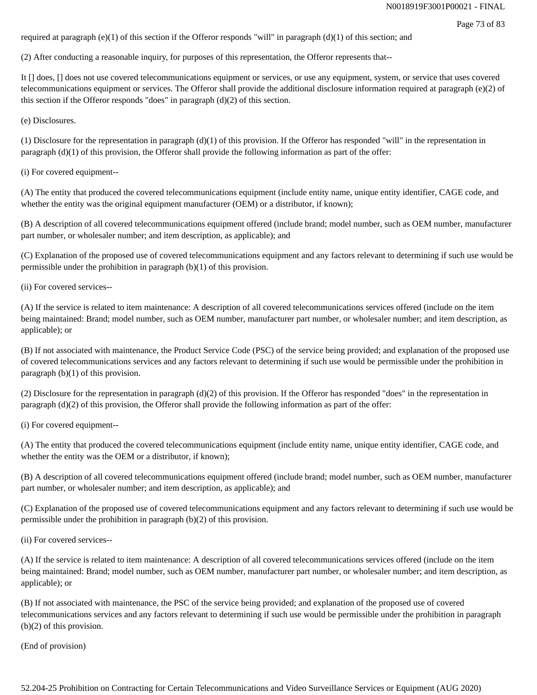required at paragraph  $(e)(1)$  of this section if the Offeror responds "will" in paragraph  $(d)(1)$  of this section; and

(2) After conducting a reasonable inquiry, for purposes of this representation, the Offeror represents that--

It [] does, [] does not use covered telecommunications equipment or services, or use any equipment, system, or service that uses covered telecommunications equipment or services. The Offeror shall provide the additional disclosure information required at paragraph (e)(2) of this section if the Offeror responds "does" in paragraph (d)(2) of this section.

(e) Disclosures.

(1) Disclosure for the representation in paragraph (d)(1) of this provision. If the Offeror has responded "will" in the representation in paragraph (d)(1) of this provision, the Offeror shall provide the following information as part of the offer:

(i) For covered equipment--

(A) The entity that produced the covered telecommunications equipment (include entity name, unique entity identifier, CAGE code, and whether the entity was the original equipment manufacturer (OEM) or a distributor, if known);

(B) A description of all covered telecommunications equipment offered (include brand; model number, such as OEM number, manufacturer part number, or wholesaler number; and item description, as applicable); and

(C) Explanation of the proposed use of covered telecommunications equipment and any factors relevant to determining if such use would be permissible under the prohibition in paragraph (b)(1) of this provision.

(ii) For covered services--

(A) If the service is related to item maintenance: A description of all covered telecommunications services offered (include on the item being maintained: Brand; model number, such as OEM number, manufacturer part number, or wholesaler number; and item description, as applicable); or

(B) If not associated with maintenance, the Product Service Code (PSC) of the service being provided; and explanation of the proposed use of covered telecommunications services and any factors relevant to determining if such use would be permissible under the prohibition in paragraph (b)(1) of this provision.

(2) Disclosure for the representation in paragraph  $(d)(2)$  of this provision. If the Offeror has responded "does" in the representation in paragraph (d)(2) of this provision, the Offeror shall provide the following information as part of the offer:

(i) For covered equipment--

(A) The entity that produced the covered telecommunications equipment (include entity name, unique entity identifier, CAGE code, and whether the entity was the OEM or a distributor, if known);

(B) A description of all covered telecommunications equipment offered (include brand; model number, such as OEM number, manufacturer part number, or wholesaler number; and item description, as applicable); and

(C) Explanation of the proposed use of covered telecommunications equipment and any factors relevant to determining if such use would be permissible under the prohibition in paragraph (b)(2) of this provision.

(ii) For covered services--

(A) If the service is related to item maintenance: A description of all covered telecommunications services offered (include on the item being maintained: Brand; model number, such as OEM number, manufacturer part number, or wholesaler number; and item description, as applicable); or

(B) If not associated with maintenance, the PSC of the service being provided; and explanation of the proposed use of covered telecommunications services and any factors relevant to determining if such use would be permissible under the prohibition in paragraph (b)(2) of this provision.

(End of provision)

52.204-25 Prohibition on Contracting for Certain Telecommunications and Video Surveillance Services or Equipment (AUG 2020)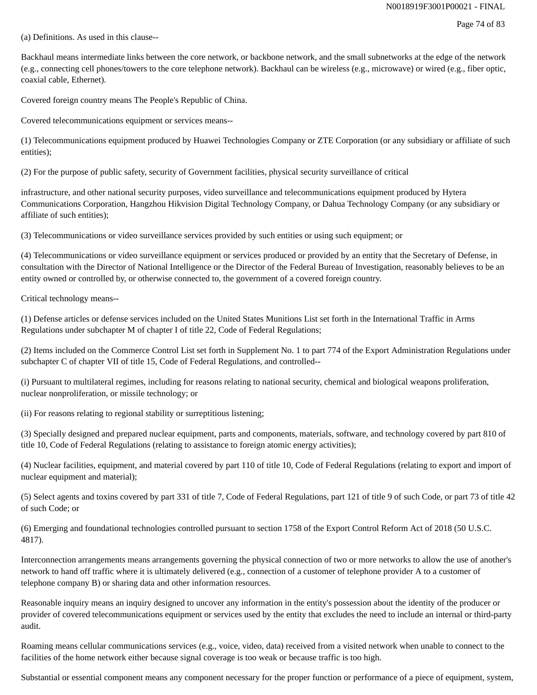Page 74 of 83

(a) Definitions. As used in this clause--

Backhaul means intermediate links between the core network, or backbone network, and the small subnetworks at the edge of the network (e.g., connecting cell phones/towers to the core telephone network). Backhaul can be wireless (e.g., microwave) or wired (e.g., fiber optic, coaxial cable, Ethernet).

Covered foreign country means The People's Republic of China.

Covered telecommunications equipment or services means--

(1) Telecommunications equipment produced by Huawei Technologies Company or ZTE Corporation (or any subsidiary or affiliate of such entities);

(2) For the purpose of public safety, security of Government facilities, physical security surveillance of critical

infrastructure, and other national security purposes, video surveillance and telecommunications equipment produced by Hytera Communications Corporation, Hangzhou Hikvision Digital Technology Company, or Dahua Technology Company (or any subsidiary or affiliate of such entities);

(3) Telecommunications or video surveillance services provided by such entities or using such equipment; or

(4) Telecommunications or video surveillance equipment or services produced or provided by an entity that the Secretary of Defense, in consultation with the Director of National Intelligence or the Director of the Federal Bureau of Investigation, reasonably believes to be an entity owned or controlled by, or otherwise connected to, the government of a covered foreign country.

Critical technology means--

(1) Defense articles or defense services included on the United States Munitions List set forth in the International Traffic in Arms Regulations under subchapter M of chapter I of title 22, Code of Federal Regulations;

(2) Items included on the Commerce Control List set forth in Supplement No. 1 to part 774 of the Export Administration Regulations under subchapter C of chapter VII of title 15, Code of Federal Regulations, and controlled--

(i) Pursuant to multilateral regimes, including for reasons relating to national security, chemical and biological weapons proliferation, nuclear nonproliferation, or missile technology; or

(ii) For reasons relating to regional stability or surreptitious listening;

(3) Specially designed and prepared nuclear equipment, parts and components, materials, software, and technology covered by part 810 of title 10, Code of Federal Regulations (relating to assistance to foreign atomic energy activities);

(4) Nuclear facilities, equipment, and material covered by part 110 of title 10, Code of Federal Regulations (relating to export and import of nuclear equipment and material);

(5) Select agents and toxins covered by part 331 of title 7, Code of Federal Regulations, part 121 of title 9 of such Code, or part 73 of title 42 of such Code; or

(6) Emerging and foundational technologies controlled pursuant to section 1758 of the Export Control Reform Act of 2018 (50 U.S.C. 4817).

Interconnection arrangements means arrangements governing the physical connection of two or more networks to allow the use of another's network to hand off traffic where it is ultimately delivered (e.g., connection of a customer of telephone provider A to a customer of telephone company B) or sharing data and other information resources.

Reasonable inquiry means an inquiry designed to uncover any information in the entity's possession about the identity of the producer or provider of covered telecommunications equipment or services used by the entity that excludes the need to include an internal or third-party audit.

Roaming means cellular communications services (e.g., voice, video, data) received from a visited network when unable to connect to the facilities of the home network either because signal coverage is too weak or because traffic is too high.

Substantial or essential component means any component necessary for the proper function or performance of a piece of equipment, system,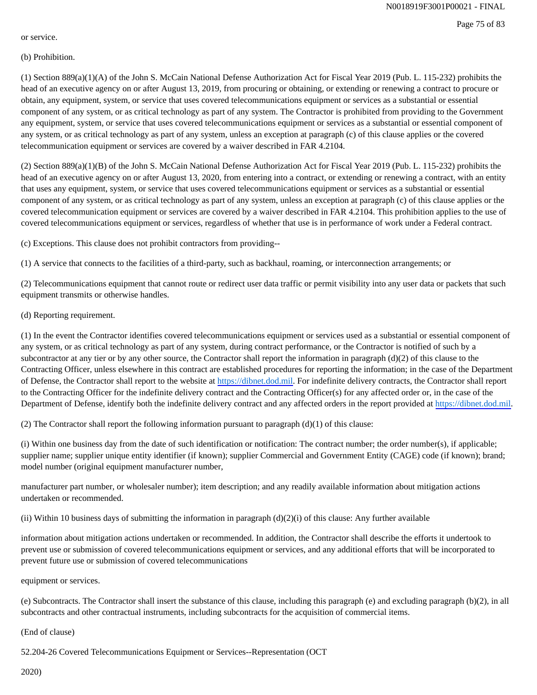Page 75 of 83

or service.

(b) Prohibition.

(1) Section 889(a)(1)(A) of the John S. McCain National Defense Authorization Act for Fiscal Year 2019 (Pub. L. 115-232) prohibits the head of an executive agency on or after August 13, 2019, from procuring or obtaining, or extending or renewing a contract to procure or obtain, any equipment, system, or service that uses covered telecommunications equipment or services as a substantial or essential component of any system, or as critical technology as part of any system. The Contractor is prohibited from providing to the Government any equipment, system, or service that uses covered telecommunications equipment or services as a substantial or essential component of any system, or as critical technology as part of any system, unless an exception at paragraph (c) of this clause applies or the covered telecommunication equipment or services are covered by a waiver described in FAR 4.2104.

(2) Section 889(a)(1)(B) of the John S. McCain National Defense Authorization Act for Fiscal Year 2019 (Pub. L. 115-232) prohibits the head of an executive agency on or after August 13, 2020, from entering into a contract, or extending or renewing a contract, with an entity that uses any equipment, system, or service that uses covered telecommunications equipment or services as a substantial or essential component of any system, or as critical technology as part of any system, unless an exception at paragraph (c) of this clause applies or the covered telecommunication equipment or services are covered by a waiver described in FAR 4.2104. This prohibition applies to the use of covered telecommunications equipment or services, regardless of whether that use is in performance of work under a Federal contract.

(c) Exceptions. This clause does not prohibit contractors from providing--

(1) A service that connects to the facilities of a third-party, such as backhaul, roaming, or interconnection arrangements; or

(2) Telecommunications equipment that cannot route or redirect user data traffic or permit visibility into any user data or packets that such equipment transmits or otherwise handles.

#### (d) Reporting requirement.

(1) In the event the Contractor identifies covered telecommunications equipment or services used as a substantial or essential component of any system, or as critical technology as part of any system, during contract performance, or the Contractor is notified of such by a subcontractor at any tier or by any other source, the Contractor shall report the information in paragraph (d)(2) of this clause to the Contracting Officer, unless elsewhere in this contract are established procedures for reporting the information; in the case of the Department of Defense, the Contractor shall report to the website at https://dibnet.dod.mil. For indefinite delivery contracts, the Contractor shall report to the Contracting Officer for the indefinite delivery contract and the Contracting Officer(s) for any affected order or, in the case of the Department of Defense, identify both the indefinite delivery contract and any affected orders in the report provided at https://dibnet.dod.mil.

(2) The Contractor shall report the following information pursuant to paragraph (d)(1) of this clause:

(i) Within one business day from the date of such identification or notification: The contract number; the order number(s), if applicable; supplier name; supplier unique entity identifier (if known); supplier Commercial and Government Entity (CAGE) code (if known); brand; model number (original equipment manufacturer number,

manufacturer part number, or wholesaler number); item description; and any readily available information about mitigation actions undertaken or recommended.

(ii) Within 10 business days of submitting the information in paragraph  $(d)(2)(i)$  of this clause: Any further available

information about mitigation actions undertaken or recommended. In addition, the Contractor shall describe the efforts it undertook to prevent use or submission of covered telecommunications equipment or services, and any additional efforts that will be incorporated to prevent future use or submission of covered telecommunications

#### equipment or services.

(e) Subcontracts. The Contractor shall insert the substance of this clause, including this paragraph (e) and excluding paragraph (b)(2), in all subcontracts and other contractual instruments, including subcontracts for the acquisition of commercial items.

#### (End of clause)

52.204-26 Covered Telecommunications Equipment or Services--Representation (OCT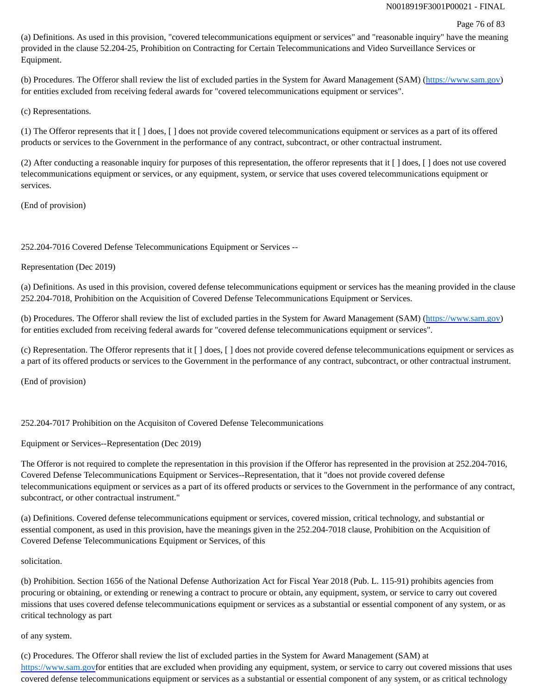(a) Definitions. As used in this provision, "covered telecommunications equipment or services" and "reasonable inquiry" have the meaning provided in the clause 52.204-25, Prohibition on Contracting for Certain Telecommunications and Video Surveillance Services or Equipment.

(b) Procedures. The Offeror shall review the list of excluded parties in the System for Award Management (SAM) (https://www.sam.gov) for entities excluded from receiving federal awards for "covered telecommunications equipment or services".

(c) Representations.

(1) The Offeror represents that it [ ] does, [ ] does not provide covered telecommunications equipment or services as a part of its offered products or services to the Government in the performance of any contract, subcontract, or other contractual instrument.

(2) After conducting a reasonable inquiry for purposes of this representation, the offeror represents that it [ ] does, [ ] does not use covered telecommunications equipment or services, or any equipment, system, or service that uses covered telecommunications equipment or services.

(End of provision)

#### 252.204-7016 Covered Defense Telecommunications Equipment or Services --

Representation (Dec 2019)

(a) Definitions. As used in this provision, covered defense telecommunications equipment or services has the meaning provided in the clause 252.204-7018, Prohibition on the Acquisition of Covered Defense Telecommunications Equipment or Services.

(b) Procedures. The Offeror shall review the list of excluded parties in the System for Award Management (SAM) (https://www.sam.gov) for entities excluded from receiving federal awards for "covered defense telecommunications equipment or services".

(c) Representation. The Offeror represents that it [ ] does, [ ] does not provide covered defense telecommunications equipment or services as a part of its offered products or services to the Government in the performance of any contract, subcontract, or other contractual instrument.

(End of provision)

#### 252.204-7017 Prohibition on the Acquisiton of Covered Defense Telecommunications

Equipment or Services--Representation (Dec 2019)

The Offeror is not required to complete the representation in this provision if the Offeror has represented in the provision at 252.204-7016, Covered Defense Telecommunications Equipment or Services--Representation, that it "does not provide covered defense telecommunications equipment or services as a part of its offered products or services to the Government in the performance of any contract, subcontract, or other contractual instrument."

(a) Definitions. Covered defense telecommunications equipment or services, covered mission, critical technology, and substantial or essential component, as used in this provision, have the meanings given in the 252.204-7018 clause, Prohibition on the Acquisition of Covered Defense Telecommunications Equipment or Services, of this

solicitation.

(b) Prohibition. Section 1656 of the National Defense Authorization Act for Fiscal Year 2018 (Pub. L. 115-91) prohibits agencies from procuring or obtaining, or extending or renewing a contract to procure or obtain, any equipment, system, or service to carry out covered missions that uses covered defense telecommunications equipment or services as a substantial or essential component of any system, or as critical technology as part

of any system.

(c) Procedures. The Offeror shall review the list of excluded parties in the System for Award Management (SAM) at https://www.sam.govfor entities that are excluded when providing any equipment, system, or service to carry out covered missions that uses covered defense telecommunications equipment or services as a substantial or essential component of any system, or as critical technology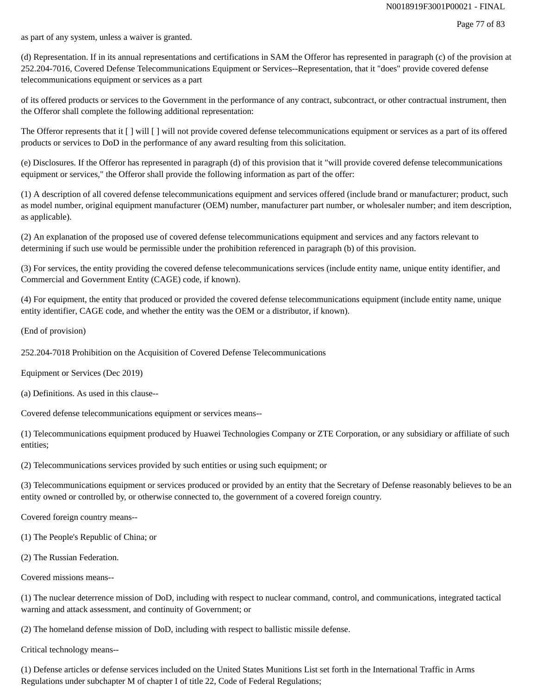Page 77 of 83

as part of any system, unless a waiver is granted.

(d) Representation. If in its annual representations and certifications in SAM the Offeror has represented in paragraph (c) of the provision at 252.204-7016, Covered Defense Telecommunications Equipment or Services--Representation, that it "does" provide covered defense telecommunications equipment or services as a part

of its offered products or services to the Government in the performance of any contract, subcontract, or other contractual instrument, then the Offeror shall complete the following additional representation:

The Offeror represents that it [ ] will [ ] will not provide covered defense telecommunications equipment or services as a part of its offered products or services to DoD in the performance of any award resulting from this solicitation.

(e) Disclosures. If the Offeror has represented in paragraph (d) of this provision that it "will provide covered defense telecommunications equipment or services," the Offeror shall provide the following information as part of the offer:

(1) A description of all covered defense telecommunications equipment and services offered (include brand or manufacturer; product, such as model number, original equipment manufacturer (OEM) number, manufacturer part number, or wholesaler number; and item description, as applicable).

(2) An explanation of the proposed use of covered defense telecommunications equipment and services and any factors relevant to determining if such use would be permissible under the prohibition referenced in paragraph (b) of this provision.

(3) For services, the entity providing the covered defense telecommunications services (include entity name, unique entity identifier, and Commercial and Government Entity (CAGE) code, if known).

(4) For equipment, the entity that produced or provided the covered defense telecommunications equipment (include entity name, unique entity identifier, CAGE code, and whether the entity was the OEM or a distributor, if known).

(End of provision)

252.204-7018 Prohibition on the Acquisition of Covered Defense Telecommunications

Equipment or Services (Dec 2019)

(a) Definitions. As used in this clause--

Covered defense telecommunications equipment or services means--

(1) Telecommunications equipment produced by Huawei Technologies Company or ZTE Corporation, or any subsidiary or affiliate of such entities;

(2) Telecommunications services provided by such entities or using such equipment; or

(3) Telecommunications equipment or services produced or provided by an entity that the Secretary of Defense reasonably believes to be an entity owned or controlled by, or otherwise connected to, the government of a covered foreign country.

Covered foreign country means--

(1) The People's Republic of China; or

(2) The Russian Federation.

Covered missions means--

(1) The nuclear deterrence mission of DoD, including with respect to nuclear command, control, and communications, integrated tactical warning and attack assessment, and continuity of Government; or

(2) The homeland defense mission of DoD, including with respect to ballistic missile defense.

Critical technology means--

(1) Defense articles or defense services included on the United States Munitions List set forth in the International Traffic in Arms Regulations under subchapter M of chapter I of title 22, Code of Federal Regulations;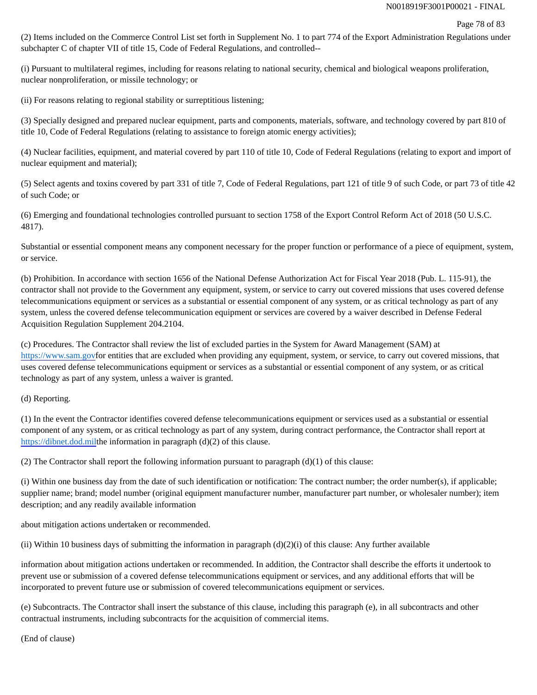#### Page 78 of 83

(2) Items included on the Commerce Control List set forth in Supplement No. 1 to part 774 of the Export Administration Regulations under subchapter C of chapter VII of title 15, Code of Federal Regulations, and controlled--

(i) Pursuant to multilateral regimes, including for reasons relating to national security, chemical and biological weapons proliferation, nuclear nonproliferation, or missile technology; or

(ii) For reasons relating to regional stability or surreptitious listening;

(3) Specially designed and prepared nuclear equipment, parts and components, materials, software, and technology covered by part 810 of title 10, Code of Federal Regulations (relating to assistance to foreign atomic energy activities);

(4) Nuclear facilities, equipment, and material covered by part 110 of title 10, Code of Federal Regulations (relating to export and import of nuclear equipment and material);

(5) Select agents and toxins covered by part 331 of title 7, Code of Federal Regulations, part 121 of title 9 of such Code, or part 73 of title 42 of such Code; or

(6) Emerging and foundational technologies controlled pursuant to section 1758 of the Export Control Reform Act of 2018 (50 U.S.C. 4817).

Substantial or essential component means any component necessary for the proper function or performance of a piece of equipment, system, or service.

(b) Prohibition. In accordance with section 1656 of the National Defense Authorization Act for Fiscal Year 2018 (Pub. L. 115-91), the contractor shall not provide to the Government any equipment, system, or service to carry out covered missions that uses covered defense telecommunications equipment or services as a substantial or essential component of any system, or as critical technology as part of any system, unless the covered defense telecommunication equipment or services are covered by a waiver described in Defense Federal Acquisition Regulation Supplement 204.2104.

(c) Procedures. The Contractor shall review the list of excluded parties in the System for Award Management (SAM) at https://www.sam.govfor entities that are excluded when providing any equipment, system, or service, to carry out covered missions, that uses covered defense telecommunications equipment or services as a substantial or essential component of any system, or as critical technology as part of any system, unless a waiver is granted.

(d) Reporting.

(1) In the event the Contractor identifies covered defense telecommunications equipment or services used as a substantial or essential component of any system, or as critical technology as part of any system, during contract performance, the Contractor shall report at https://dibnet.dod.milthe information in paragraph (d)(2) of this clause.

(2) The Contractor shall report the following information pursuant to paragraph  $(d)(1)$  of this clause:

(i) Within one business day from the date of such identification or notification: The contract number; the order number(s), if applicable; supplier name; brand; model number (original equipment manufacturer number, manufacturer part number, or wholesaler number); item description; and any readily available information

about mitigation actions undertaken or recommended.

(ii) Within 10 business days of submitting the information in paragraph  $(d)(2)(i)$  of this clause: Any further available

information about mitigation actions undertaken or recommended. In addition, the Contractor shall describe the efforts it undertook to prevent use or submission of a covered defense telecommunications equipment or services, and any additional efforts that will be incorporated to prevent future use or submission of covered telecommunications equipment or services.

(e) Subcontracts. The Contractor shall insert the substance of this clause, including this paragraph (e), in all subcontracts and other contractual instruments, including subcontracts for the acquisition of commercial items.

(End of clause)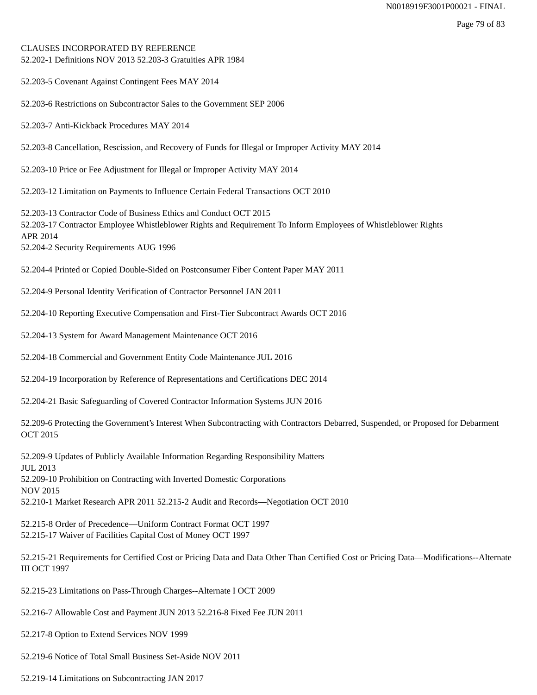Page 79 of 83

### CLAUSES INCORPORATED BY REFERENCE

52.202-1 Definitions NOV 2013 52.203-3 Gratuities APR 1984

52.203-5 Covenant Against Contingent Fees MAY 2014

52.203-6 Restrictions on Subcontractor Sales to the Government SEP 2006

52.203-7 Anti-Kickback Procedures MAY 2014

- 52.203-8 Cancellation, Rescission, and Recovery of Funds for Illegal or Improper Activity MAY 2014
- 52.203-10 Price or Fee Adjustment for Illegal or Improper Activity MAY 2014

52.203-12 Limitation on Payments to Influence Certain Federal Transactions OCT 2010

52.203-13 Contractor Code of Business Ethics and Conduct OCT 2015

52.203-17 Contractor Employee Whistleblower Rights and Requirement To Inform Employees of Whistleblower Rights APR 2014

52.204-2 Security Requirements AUG 1996

- 52.204-4 Printed or Copied Double-Sided on Postconsumer Fiber Content Paper MAY 2011
- 52.204-9 Personal Identity Verification of Contractor Personnel JAN 2011
- 52.204-10 Reporting Executive Compensation and First-Tier Subcontract Awards OCT 2016
- 52.204-13 System for Award Management Maintenance OCT 2016
- 52.204-18 Commercial and Government Entity Code Maintenance JUL 2016
- 52.204-19 Incorporation by Reference of Representations and Certifications DEC 2014
- 52.204-21 Basic Safeguarding of Covered Contractor Information Systems JUN 2016

52.209-6 Protecting the Government's Interest When Subcontracting with Contractors Debarred, Suspended, or Proposed for Debarment OCT 2015

52.209-9 Updates of Publicly Available Information Regarding Responsibility Matters JUL 2013 52.209-10 Prohibition on Contracting with Inverted Domestic Corporations

52.210-1 Market Research APR 2011 52.215-2 Audit and Records—Negotiation OCT 2010

52.215-8 Order of Precedence—Uniform Contract Format OCT 1997 52.215-17 Waiver of Facilities Capital Cost of Money OCT 1997

52.215-21 Requirements for Certified Cost or Pricing Data and Data Other Than Certified Cost or Pricing Data—Modifications--Alternate III OCT 1997

- 52.215-23 Limitations on Pass-Through Charges--Alternate I OCT 2009
- 52.216-7 Allowable Cost and Payment JUN 2013 52.216-8 Fixed Fee JUN 2011
- 52.217-8 Option to Extend Services NOV 1999

NOV 2015

- 52.219-6 Notice of Total Small Business Set-Aside NOV 2011
- 52.219-14 Limitations on Subcontracting JAN 2017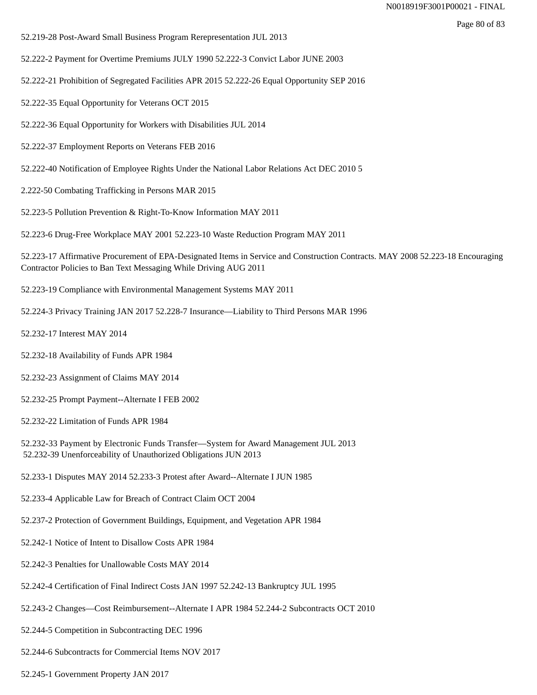Page 80 of 83

- 52.219-28 Post-Award Small Business Program Rerepresentation JUL 2013
- 52.222-2 Payment for Overtime Premiums JULY 1990 52.222-3 Convict Labor JUNE 2003
- 52.222-21 Prohibition of Segregated Facilities APR 2015 52.222-26 Equal Opportunity SEP 2016
- 52.222-35 Equal Opportunity for Veterans OCT 2015
- 52.222-36 Equal Opportunity for Workers with Disabilities JUL 2014
- 52.222-37 Employment Reports on Veterans FEB 2016
- 52.222-40 Notification of Employee Rights Under the National Labor Relations Act DEC 2010 5
- 2.222-50 Combating Trafficking in Persons MAR 2015
- 52.223-5 Pollution Prevention & Right-To-Know Information MAY 2011
- 52.223-6 Drug-Free Workplace MAY 2001 52.223-10 Waste Reduction Program MAY 2011

52.223-17 Affirmative Procurement of EPA-Designated Items in Service and Construction Contracts. MAY 2008 52.223-18 Encouraging Contractor Policies to Ban Text Messaging While Driving AUG 2011

- 52.223-19 Compliance with Environmental Management Systems MAY 2011
- 52.224-3 Privacy Training JAN 2017 52.228-7 Insurance—Liability to Third Persons MAR 1996
- 52.232-17 Interest MAY 2014
- 52.232-18 Availability of Funds APR 1984
- 52.232-23 Assignment of Claims MAY 2014
- 52.232-25 Prompt Payment--Alternate I FEB 2002
- 52.232-22 Limitation of Funds APR 1984
- 52.232-33 Payment by Electronic Funds Transfer—System for Award Management JUL 2013 52.232-39 Unenforceability of Unauthorized Obligations JUN 2013
- 52.233-1 Disputes MAY 2014 52.233-3 Protest after Award--Alternate I JUN 1985
- 52.233-4 Applicable Law for Breach of Contract Claim OCT 2004
- 52.237-2 Protection of Government Buildings, Equipment, and Vegetation APR 1984
- 52.242-1 Notice of Intent to Disallow Costs APR 1984
- 52.242-3 Penalties for Unallowable Costs MAY 2014
- 52.242-4 Certification of Final Indirect Costs JAN 1997 52.242-13 Bankruptcy JUL 1995
- 52.243-2 Changes—Cost Reimbursement--Alternate I APR 1984 52.244-2 Subcontracts OCT 2010
- 52.244-5 Competition in Subcontracting DEC 1996
- 52.244-6 Subcontracts for Commercial Items NOV 2017
- 52.245-1 Government Property JAN 2017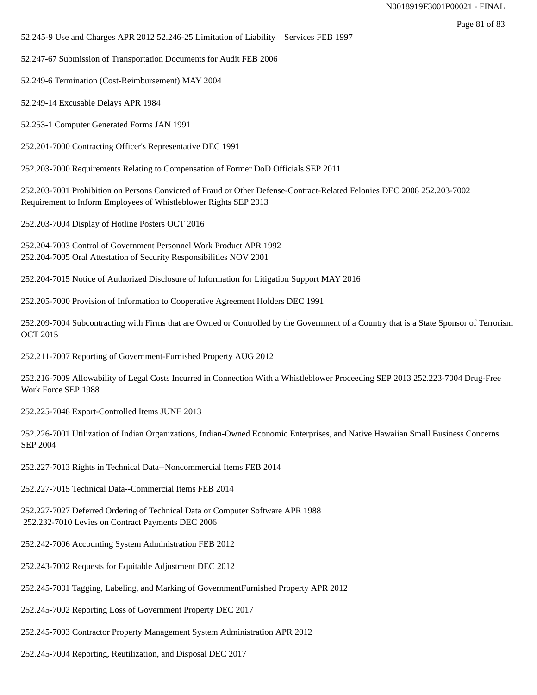Page 81 of 83

52.245-9 Use and Charges APR 2012 52.246-25 Limitation of Liability—Services FEB 1997

52.247-67 Submission of Transportation Documents for Audit FEB 2006

52.249-6 Termination (Cost-Reimbursement) MAY 2004

52.249-14 Excusable Delays APR 1984

52.253-1 Computer Generated Forms JAN 1991

252.201-7000 Contracting Officer's Representative DEC 1991

252.203-7000 Requirements Relating to Compensation of Former DoD Officials SEP 2011

252.203-7001 Prohibition on Persons Convicted of Fraud or Other Defense-Contract-Related Felonies DEC 2008 252.203-7002 Requirement to Inform Employees of Whistleblower Rights SEP 2013

252.203-7004 Display of Hotline Posters OCT 2016

252.204-7003 Control of Government Personnel Work Product APR 1992 252.204-7005 Oral Attestation of Security Responsibilities NOV 2001

252.204-7015 Notice of Authorized Disclosure of Information for Litigation Support MAY 2016

252.205-7000 Provision of Information to Cooperative Agreement Holders DEC 1991

252.209-7004 Subcontracting with Firms that are Owned or Controlled by the Government of a Country that is a State Sponsor of Terrorism OCT 2015

252.211-7007 Reporting of Government-Furnished Property AUG 2012

252.216-7009 Allowability of Legal Costs Incurred in Connection With a Whistleblower Proceeding SEP 2013 252.223-7004 Drug-Free Work Force SEP 1988

252.225-7048 Export-Controlled Items JUNE 2013

252.226-7001 Utilization of Indian Organizations, Indian-Owned Economic Enterprises, and Native Hawaiian Small Business Concerns SEP 2004

252.227-7013 Rights in Technical Data--Noncommercial Items FEB 2014

252.227-7015 Technical Data--Commercial Items FEB 2014

252.227-7027 Deferred Ordering of Technical Data or Computer Software APR 1988 252.232-7010 Levies on Contract Payments DEC 2006

- 252.242-7006 Accounting System Administration FEB 2012
- 252.243-7002 Requests for Equitable Adjustment DEC 2012
- 252.245-7001 Tagging, Labeling, and Marking of GovernmentFurnished Property APR 2012
- 252.245-7002 Reporting Loss of Government Property DEC 2017
- 252.245-7003 Contractor Property Management System Administration APR 2012
- 252.245-7004 Reporting, Reutilization, and Disposal DEC 2017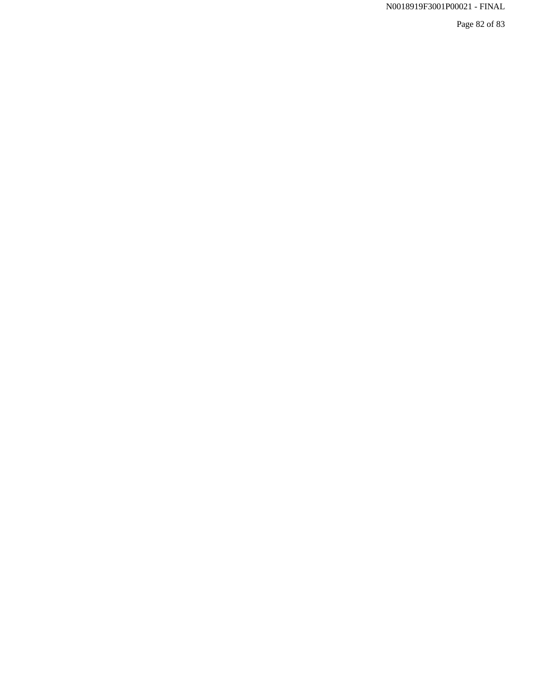N0018919F3001P00021 - FINAL

Page 82 of 83